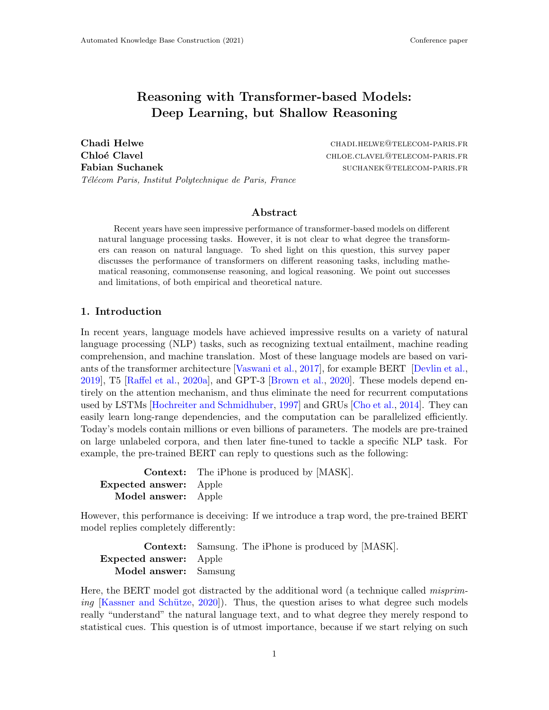# Reasoning with Transformer-based Models: Deep Learning, but Shallow Reasoning

Chadi Helwe **change change change change change change change change change change change change change change ch** Chloé Clavel **chloe.clavel chloe.clavel@telecom-paris.fr** Fabian Suchanek and Suchanek such a such a such a such a such a such a such a such a such a such a such a such a such a such a such a such a such a such a such a such a such a such a such a such a such a such a such a such Télécom Paris, Institut Polytechnique de Paris, France

### Abstract

Recent years have seen impressive performance of transformer-based models on different natural language processing tasks. However, it is not clear to what degree the transformers can reason on natural language. To shed light on this question, this survey paper discusses the performance of transformers on different reasoning tasks, including mathematical reasoning, commonsense reasoning, and logical reasoning. We point out successes and limitations, of both empirical and theoretical nature.

### <span id="page-0-0"></span>1. Introduction

In recent years, language models have achieved impressive results on a variety of natural language processing (NLP) tasks, such as recognizing textual entailment, machine reading comprehension, and machine translation. Most of these language models are based on variants of the transformer architecture [\[Vaswani et al.,](#page-16-0) [2017\]](#page-16-0), for example BERT [\[Devlin et al.,](#page-11-0) [2019\]](#page-11-0), T5 [\[Raffel et al.,](#page-15-0) [2020a\]](#page-15-0), and GPT-3 [\[Brown et al.,](#page-11-1) [2020\]](#page-11-1). These models depend entirely on the attention mechanism, and thus eliminate the need for recurrent computations used by LSTMs [\[Hochreiter and Schmidhuber,](#page-12-0) [1997\]](#page-12-0) and GRUs [\[Cho et al.,](#page-11-2) [2014\]](#page-11-2). They can easily learn long-range dependencies, and the computation can be parallelized efficiently. Today's models contain millions or even billions of parameters. The models are pre-trained on large unlabeled corpora, and then later fine-tuned to tackle a specific NLP task. For example, the pre-trained BERT can reply to questions such as the following:

|                               | <b>Context:</b> The iPhone is produced by [MASK]. |
|-------------------------------|---------------------------------------------------|
| <b>Expected answer:</b> Apple |                                                   |
| Model answer: Apple           |                                                   |

However, this performance is deceiving: If we introduce a trap word, the pre-trained BERT model replies completely differently:

|                               | <b>Context:</b> Samsung. The iPhone is produced by [MASK]. |  |
|-------------------------------|------------------------------------------------------------|--|
| <b>Expected answer:</b> Apple |                                                            |  |
| Model answer: Samsung         |                                                            |  |

Here, the BERT model got distracted by the additional word (a technique called *misprim*ing  $[K$ <sup>[2020\]](#page-13-0)</sup>). Thus, the question arises to what degree such models really "understand" the natural language text, and to what degree they merely respond to statistical cues. This question is of utmost importance, because if we start relying on such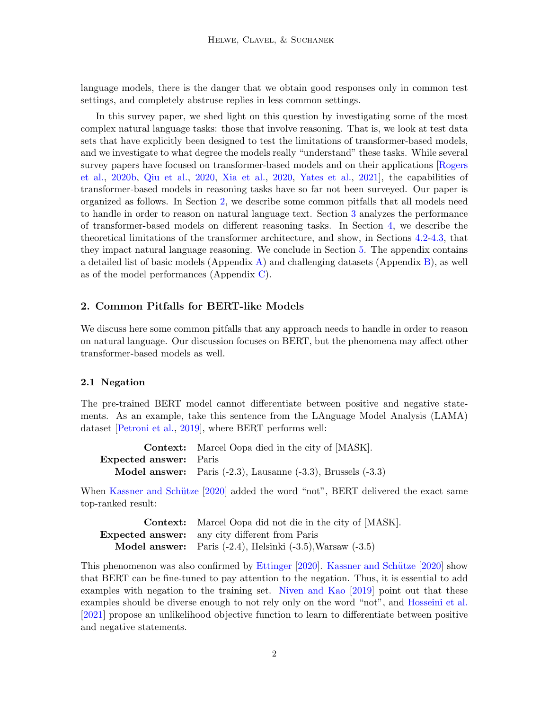language models, there is the danger that we obtain good responses only in common test settings, and completely abstruse replies in less common settings.

In this survey paper, we shed light on this question by investigating some of the most complex natural language tasks: those that involve reasoning. That is, we look at test data sets that have explicitly been designed to test the limitations of transformer-based models, and we investigate to what degree the models really "understand" these tasks. While several survey papers have focused on transformer-based models and on their applications [\[Rogers](#page-15-1) [et al.,](#page-15-1) [2020b,](#page-15-1) [Qiu et al.,](#page-15-2) [2020,](#page-15-2) [Xia et al.,](#page-16-1) [2020,](#page-16-1) [Yates et al.,](#page-17-0) [2021\]](#page-17-0), the capabilities of transformer-based models in reasoning tasks have so far not been surveyed. Our paper is organized as follows. In Section [2,](#page-1-0) we describe some common pitfalls that all models need to handle in order to reason on natural language text. Section [3](#page-3-0) analyzes the performance of transformer-based models on different reasoning tasks. In Section [4,](#page-8-0) we describe the theoretical limitations of the transformer architecture, and show, in Sections [4.2-](#page-9-0)[4.3,](#page-9-1) that they impact natural language reasoning. We conclude in Section [5.](#page-10-0) The appendix contains a detailed list of basic models (Appendix [A\)](#page-0-0) and challenging datasets (Appendix [B\)](#page-1-0), as well as of the model performances (Appendix  $C$ ).

### <span id="page-1-0"></span>2. Common Pitfalls for BERT-like Models

We discuss here some common pitfalls that any approach needs to handle in order to reason on natural language. Our discussion focuses on BERT, but the phenomena may affect other transformer-based models as well.

#### 2.1 Negation

The pre-trained BERT model cannot differentiate between positive and negative statements. As an example, take this sentence from the LAnguage Model Analysis (LAMA) dataset [\[Petroni et al.,](#page-15-3) [2019\]](#page-15-3), where BERT performs well:

|                               | <b>Context:</b> Marcel Oopa died in the city of [MASK].                     |
|-------------------------------|-----------------------------------------------------------------------------|
| <b>Expected answer:</b> Paris |                                                                             |
|                               | <b>Model answer:</b> Paris $(-2.3)$ , Lausanne $(-3.3)$ , Brussels $(-3.3)$ |

When Kassner and Schütze [\[2020\]](#page-13-0) added the word "not", BERT delivered the exact same top-ranked result:

| <b>Context:</b> Marcel Oopa did not die in the city of [MASK].            |
|---------------------------------------------------------------------------|
| <b>Expected answer:</b> any city different from Paris                     |
| <b>Model answer:</b> Paris $(-2.4)$ , Helsinki $(-3.5)$ , Warsaw $(-3.5)$ |

This phenomenon was also confirmed by [Ettinger](#page-11-3) [\[2020\]](#page-13-0). Kassner and Schütze [2020] show that BERT can be fine-tuned to pay attention to the negation. Thus, it is essential to add examples with negation to the training set. [Niven and Kao](#page-14-0) [\[2019\]](#page-14-0) point out that these examples should be diverse enough to not rely only on the word "not", and [Hosseini et al.](#page-12-1) [\[2021\]](#page-12-1) propose an unlikelihood objective function to learn to differentiate between positive and negative statements.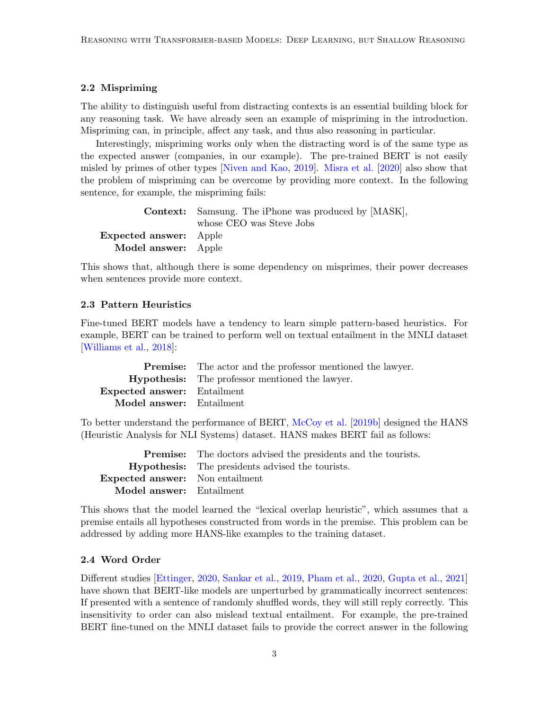### 2.2 Mispriming

The ability to distinguish useful from distracting contexts is an essential building block for any reasoning task. We have already seen an example of mispriming in the introduction. Mispriming can, in principle, affect any task, and thus also reasoning in particular.

Interestingly, mispriming works only when the distracting word is of the same type as the expected answer (companies, in our example). The pre-trained BERT is not easily misled by primes of other types [\[Niven and Kao,](#page-14-0) [2019\]](#page-14-0). [Misra et al.](#page-14-1) [\[2020\]](#page-14-1) also show that the problem of mispriming can be overcome by providing more context. In the following sentence, for example, the mispriming fails:

|                               | <b>Context:</b> Samsung. The iPhone was produced by [MASK], |
|-------------------------------|-------------------------------------------------------------|
|                               | whose CEO was Steve Jobs                                    |
| <b>Expected answer:</b> Apple |                                                             |
| Model answer: Apple           |                                                             |

This shows that, although there is some dependency on misprimes, their power decreases when sentences provide more context.

#### 2.3 Pattern Heuristics

Fine-tuned BERT models have a tendency to learn simple pattern-based heuristics. For example, BERT can be trained to perform well on textual entailment in the MNLI dataset [\[Williams et al.,](#page-16-2) [2018\]](#page-16-2):

|                                    | <b>Premise:</b> The actor and the professor mentioned the lawyer. |
|------------------------------------|-------------------------------------------------------------------|
|                                    | <b>Hypothesis:</b> The professor mentioned the lawyer.            |
| <b>Expected answer:</b> Entailment |                                                                   |
| <b>Model answer:</b> Entailment    |                                                                   |

To better understand the performance of BERT, [McCoy et al.](#page-14-2) [\[2019b\]](#page-14-2) designed the HANS (Heuristic Analysis for NLI Systems) dataset. HANS makes BERT fail as follows:

|                                        | <b>Premise:</b> The doctors advised the presidents and the tourists. |
|----------------------------------------|----------------------------------------------------------------------|
|                                        | <b>Hypothesis:</b> The presidents advised the tourists.              |
| <b>Expected answer:</b> Non entailment |                                                                      |
| Model answer: Entailment               |                                                                      |

This shows that the model learned the "lexical overlap heuristic", which assumes that a premise entails all hypotheses constructed from words in the premise. This problem can be addressed by adding more HANS-like examples to the training dataset.

#### 2.4 Word Order

Different studies [\[Ettinger,](#page-11-3) [2020,](#page-11-3) [Sankar et al.,](#page-15-4) [2019,](#page-15-4) [Pham et al.,](#page-15-5) [2020,](#page-15-5) [Gupta et al.,](#page-12-2) [2021\]](#page-12-2) have shown that BERT-like models are unperturbed by grammatically incorrect sentences: If presented with a sentence of randomly shuffled words, they will still reply correctly. This insensitivity to order can also mislead textual entailment. For example, the pre-trained BERT fine-tuned on the MNLI dataset fails to provide the correct answer in the following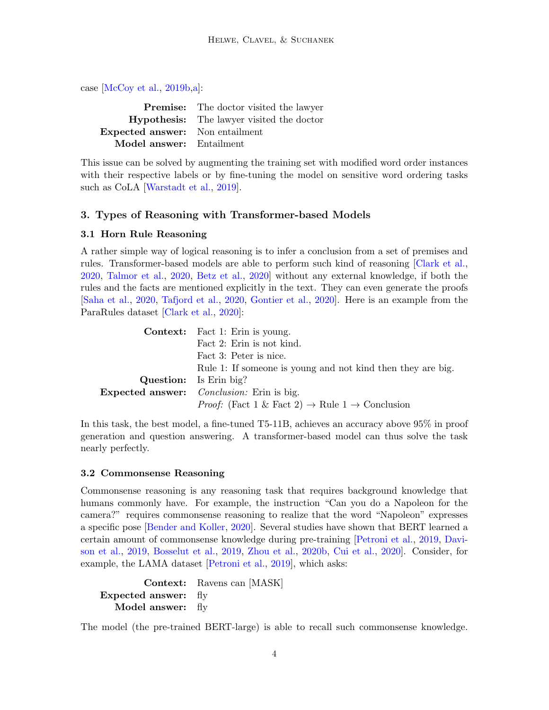case [\[McCoy et al.,](#page-14-2) [2019b](#page-14-2)[,a\]](#page-14-3):

|                                        | <b>Premise:</b> The doctor visited the lawyer    |
|----------------------------------------|--------------------------------------------------|
|                                        | <b>Hypothesis:</b> The lawyer visited the doctor |
| <b>Expected answer:</b> Non entailment |                                                  |
| Model answer: Entailment               |                                                  |

This issue can be solved by augmenting the training set with modified word order instances with their respective labels or by fine-tuning the model on sensitive word ordering tasks such as CoLA [\[Warstadt et al.,](#page-16-3) [2019\]](#page-16-3).

### <span id="page-3-0"></span>3. Types of Reasoning with Transformer-based Models

### <span id="page-3-1"></span>3.1 Horn Rule Reasoning

A rather simple way of logical reasoning is to infer a conclusion from a set of premises and rules. Transformer-based models are able to perform such kind of reasoning [\[Clark et al.,](#page-11-4) [2020,](#page-11-4) [Talmor et al.,](#page-16-4) [2020,](#page-16-4) [Betz et al.,](#page-10-1) [2020\]](#page-10-1) without any external knowledge, if both the rules and the facts are mentioned explicitly in the text. They can even generate the proofs [\[Saha et al.,](#page-15-6) [2020,](#page-15-6) [Tafjord et al.,](#page-16-5) [2020,](#page-16-5) [Gontier et al.,](#page-12-3) [2020\]](#page-12-3). Here is an example from the ParaRules dataset [\[Clark et al.,](#page-11-4) [2020\]](#page-11-4):

| <b>Context:</b> Fact 1: Erin is young.                                        |
|-------------------------------------------------------------------------------|
| Fact 2: Erin is not kind.                                                     |
| Fact 3: Peter is nice.                                                        |
| Rule 1: If someone is young and not kind then they are big.                   |
| <b>Question:</b> Is Erin big?                                                 |
| <b>Expected answer:</b> <i>Conclusion:</i> Erin is big.                       |
| <i>Proof:</i> (Fact 1 & Fact 2) $\rightarrow$ Rule 1 $\rightarrow$ Conclusion |

In this task, the best model, a fine-tuned T5-11B, achieves an accuracy above 95% in proof generation and question answering. A transformer-based model can thus solve the task nearly perfectly.

### <span id="page-3-2"></span>3.2 Commonsense Reasoning

Commonsense reasoning is any reasoning task that requires background knowledge that humans commonly have. For example, the instruction "Can you do a Napoleon for the camera?" requires commonsense reasoning to realize that the word "Napoleon" expresses a specific pose [\[Bender and Koller,](#page-10-2) [2020\]](#page-10-2). Several studies have shown that BERT learned a certain amount of commonsense knowledge during pre-training [\[Petroni et al.,](#page-15-3) [2019,](#page-15-3) [Davi](#page-11-5)[son et al.,](#page-11-5) [2019,](#page-11-5) [Bosselut et al.,](#page-11-6) [2019,](#page-11-6) [Zhou et al.,](#page-17-1) [2020b,](#page-17-1) [Cui et al.,](#page-11-7) [2020\]](#page-11-7). Consider, for example, the LAMA dataset [\[Petroni et al.,](#page-15-3) [2019\]](#page-15-3), which asks:

```
Context: Ravens can [MASK]
Expected answer: fly
  Model answer: fly
```
The model (the pre-trained BERT-large) is able to recall such commonsense knowledge.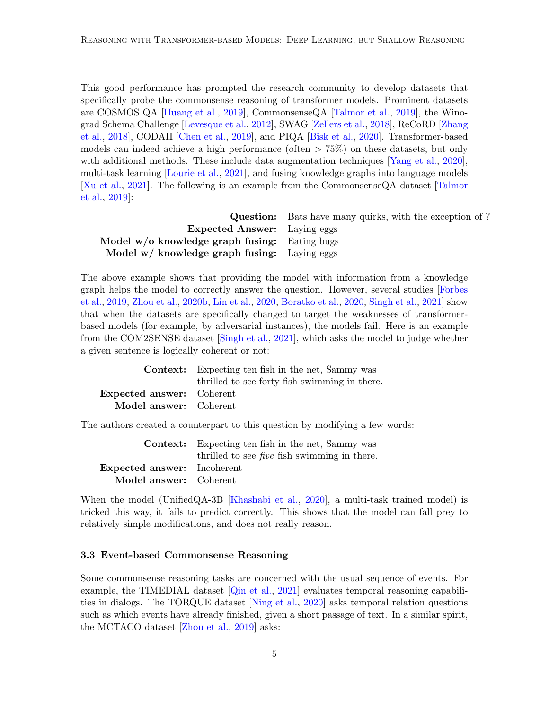This good performance has prompted the research community to develop datasets that specifically probe the commonsense reasoning of transformer models. Prominent datasets are COSMOS QA [\[Huang et al.,](#page-12-4) [2019\]](#page-12-4), CommonsenseQA [\[Talmor et al.,](#page-16-6) [2019\]](#page-16-6), the Winograd Schema Challenge [\[Levesque et al.,](#page-13-1) [2012\]](#page-13-1), SWAG [\[Zellers et al.,](#page-17-2) [2018\]](#page-17-2), ReCoRD [\[Zhang](#page-17-3) [et al.,](#page-17-3) [2018\]](#page-17-3), CODAH [\[Chen et al.,](#page-11-8) [2019\]](#page-11-8), and PIQA [\[Bisk et al.,](#page-10-3) [2020\]](#page-10-3). Transformer-based models can indeed achieve a high performance (often  $> 75\%$ ) on these datasets, but only with additional methods. These include data augmentation techniques [\[Yang et al.,](#page-17-4) [2020\]](#page-17-4), multi-task learning [\[Lourie et al.,](#page-14-4) [2021\]](#page-14-4), and fusing knowledge graphs into language models [\[Xu et al.,](#page-17-5) [2021\]](#page-17-5). The following is an example from the CommonsenseQA dataset [\[Talmor](#page-16-6) [et al.,](#page-16-6) [2019\]](#page-16-6):

|                                                 | <b>Question:</b> Bats have many quirks, with the exception of? |
|-------------------------------------------------|----------------------------------------------------------------|
| <b>Expected Answer:</b> Laying eggs             |                                                                |
| Model $w/o$ knowledge graph fusing: Eating bugs |                                                                |
| Model w/ knowledge graph fusing: Laying eggs    |                                                                |

The above example shows that providing the model with information from a knowledge graph helps the model to correctly answer the question. However, several studies [\[Forbes](#page-11-9) [et al.,](#page-11-9) [2019,](#page-11-9) [Zhou et al.,](#page-17-1) [2020b,](#page-17-1) [Lin et al.,](#page-13-2) [2020,](#page-11-10) [Boratko et al.,](#page-11-10) 2020, [Singh et al.,](#page-16-7) 2021 show that when the datasets are specifically changed to target the weaknesses of transformerbased models (for example, by adversarial instances), the models fail. Here is an example from the COM2SENSE dataset [\[Singh et al.,](#page-16-7) [2021\]](#page-16-7), which asks the model to judge whether a given sentence is logically coherent or not:

|                                  | <b>Context:</b> Expecting ten fish in the net, Sammy was |
|----------------------------------|----------------------------------------------------------|
|                                  | thrilled to see forty fish swimming in there.            |
| <b>Expected answer:</b> Coherent |                                                          |
| Model answer: Coherent           |                                                          |

The authors created a counterpart to this question by modifying a few words:

|                                    | <b>Context:</b> Expecting ten fish in the net, Sammy was |
|------------------------------------|----------------------------------------------------------|
|                                    | thrilled to see <i>five</i> fish swimming in there.      |
| <b>Expected answer:</b> Incoherent |                                                          |
| Model answer: Coherent             |                                                          |

When the model (UnifiedQA-3B [\[Khashabi et al.,](#page-13-3) [2020\]](#page-13-3), a multi-task trained model) is tricked this way, it fails to predict correctly. This shows that the model can fall prey to relatively simple modifications, and does not really reason.

### <span id="page-4-0"></span>3.3 Event-based Commonsense Reasoning

Some commonsense reasoning tasks are concerned with the usual sequence of events. For example, the TIMEDIAL dataset [\[Qin et al.,](#page-15-7) [2021\]](#page-15-7) evaluates temporal reasoning capabilities in dialogs. The TORQUE dataset [\[Ning et al.,](#page-14-5) [2020\]](#page-14-5) asks temporal relation questions such as which events have already finished, given a short passage of text. In a similar spirit, the MCTACO dataset [\[Zhou et al.,](#page-17-6) [2019\]](#page-17-6) asks: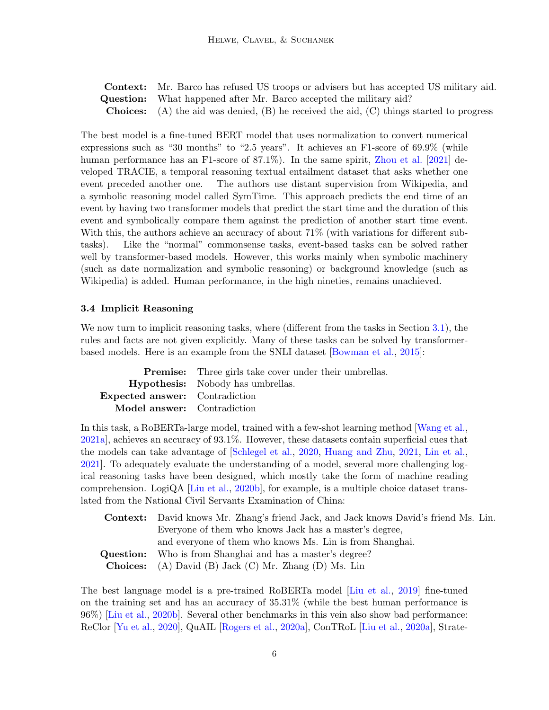Context: Mr. Barco has refused US troops or advisers but has accepted US military aid. **Question:** What happened after Mr. Barco accepted the military aid? **Choices:** (A) the aid was denied,  $(B)$  he received the aid,  $(C)$  things started to progress

The best model is a fine-tuned BERT model that uses normalization to convert numerical expressions such as "30 months" to "2.5 years". It achieves an F1-score of 69.9% (while human performance has an F1-score of 87.1%). In the same spirit, [Zhou et al.](#page-17-7) [\[2021\]](#page-17-7) developed TRACIE, a temporal reasoning textual entailment dataset that asks whether one event preceded another one. The authors use distant supervision from Wikipedia, and a symbolic reasoning model called SymTime. This approach predicts the end time of an event by having two transformer models that predict the start time and the duration of this event and symbolically compare them against the prediction of another start time event. With this, the authors achieve an accuracy of about 71% (with variations for different subtasks). Like the "normal" commonsense tasks, event-based tasks can be solved rather well by transformer-based models. However, this works mainly when symbolic machinery (such as date normalization and symbolic reasoning) or background knowledge (such as Wikipedia) is added. Human performance, in the high nineties, remains unachieved.

### <span id="page-5-0"></span>3.4 Implicit Reasoning

We now turn to implicit reasoning tasks, where (different from the tasks in Section [3.1\)](#page-3-1), the rules and facts are not given explicitly. Many of these tasks can be solved by transformerbased models. Here is an example from the SNLI dataset [\[Bowman et al.,](#page-11-11) [2015\]](#page-11-11):

|                                          | <b>Premise:</b> Three girls take cover under their umbrellas. |
|------------------------------------------|---------------------------------------------------------------|
| <b>Hypothesis:</b> Nobody has umbrellas. |                                                               |
| <b>Expected answer:</b> Contradiction    |                                                               |
| <b>Model answer:</b> Contradiction       |                                                               |

In this task, a RoBERTa-large model, trained with a few-shot learning method [\[Wang et al.,](#page-16-8) [2021a\]](#page-16-8), achieves an accuracy of 93.1%. However, these datasets contain superficial cues that the models can take advantage of [\[Schlegel et al.,](#page-16-9) [2020,](#page-16-9) [Huang and Zhu,](#page-12-5) [2021,](#page-12-5) [Lin et al.,](#page-13-4) [2021\]](#page-13-4). To adequately evaluate the understanding of a model, several more challenging logical reasoning tasks have been designed, which mostly take the form of machine reading comprehension. LogiQA [\[Liu et al.,](#page-13-5) [2020b\]](#page-13-5), for example, is a multiple choice dataset translated from the National Civil Servants Examination of China:

| <b>Context:</b> David knows Mr. Zhang's friend Jack, and Jack knows David's friend Ms. Lin. |  |
|---------------------------------------------------------------------------------------------|--|
| Everyone of them who knows Jack has a master's degree,                                      |  |
| and everyone of them who knows Ms. Lin is from Shanghai.                                    |  |
| <b>Question:</b> Who is from Shanghai and has a master's degree?                            |  |
| <b>Choices:</b> (A) David (B) Jack (C) Mr. Zhang (D) Ms. Lin                                |  |

The best language model is a pre-trained RoBERTa model [\[Liu et al.,](#page-13-6) [2019\]](#page-13-6) fine-tuned on the training set and has an accuracy of 35.31% (while the best human performance is 96%) [\[Liu et al.,](#page-13-5) [2020b\]](#page-13-5). Several other benchmarks in this vein also show bad performance: ReClor [\[Yu et al.,](#page-17-8) [2020\]](#page-17-8), QuAIL [\[Rogers et al.,](#page-15-8) [2020a\]](#page-15-8), ConTRoL [\[Liu et al.,](#page-13-7) [2020a\]](#page-13-7), Strate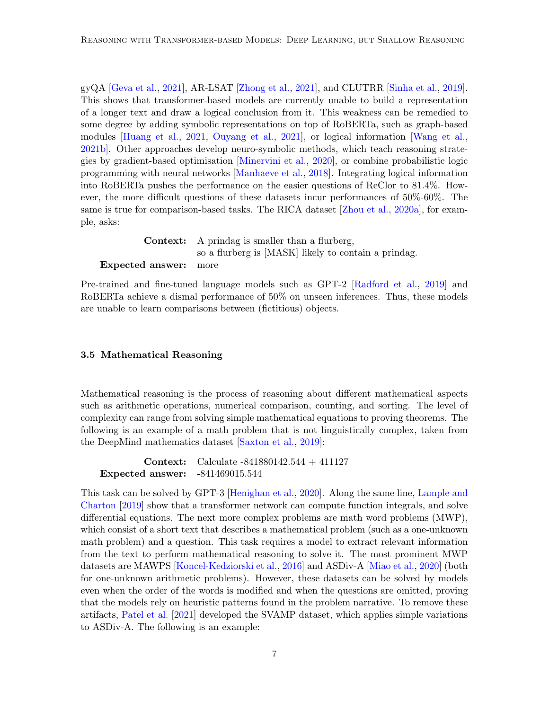gyQA [\[Geva et al.,](#page-12-6) [2021\]](#page-12-6), AR-LSAT [\[Zhong et al.,](#page-17-9) [2021\]](#page-17-9), and CLUTRR [\[Sinha et al.,](#page-16-10) [2019\]](#page-16-10). This shows that transformer-based models are currently unable to build a representation of a longer text and draw a logical conclusion from it. This weakness can be remedied to some degree by adding symbolic representations on top of RoBERTa, such as graph-based modules [\[Huang et al.,](#page-12-7) [2021,](#page-12-7) [Ouyang et al.,](#page-14-6) [2021\]](#page-14-6), or logical information [\[Wang et al.,](#page-16-11) [2021b\]](#page-16-11). Other approaches develop neuro-symbolic methods, which teach reasoning strategies by gradient-based optimisation [\[Minervini et al.,](#page-14-7) [2020\]](#page-14-7), or combine probabilistic logic programming with neural networks [\[Manhaeve et al.,](#page-14-8) [2018\]](#page-14-8). Integrating logical information into RoBERTa pushes the performance on the easier questions of ReClor to 81.4%. However, the more difficult questions of these datasets incur performances of 50%-60%. The same is true for comparison-based tasks. The RICA dataset [\[Zhou et al.,](#page-17-10) [2020a\]](#page-17-10), for example, asks:

Context: A prindag is smaller than a flurberg, so a flurberg is [MASK] likely to contain a prindag. Expected answer: more

Pre-trained and fine-tuned language models such as GPT-2 [\[Radford et al.,](#page-15-9) [2019\]](#page-15-9) and RoBERTa achieve a dismal performance of 50% on unseen inferences. Thus, these models are unable to learn comparisons between (fictitious) objects.

### <span id="page-6-0"></span>3.5 Mathematical Reasoning

Mathematical reasoning is the process of reasoning about different mathematical aspects such as arithmetic operations, numerical comparison, counting, and sorting. The level of complexity can range from solving simple mathematical equations to proving theorems. The following is an example of a math problem that is not linguistically complex, taken from the DeepMind mathematics dataset [\[Saxton et al.,](#page-15-10) [2019\]](#page-15-10):

Context: Calculate -841880142.544 + 411127 Expected answer: -841469015.544

This task can be solved by GPT-3 [\[Henighan et al.,](#page-12-8) [2020\]](#page-12-8). Along the same line, [Lample and](#page-13-8) [Charton](#page-13-8) [\[2019\]](#page-13-8) show that a transformer network can compute function integrals, and solve differential equations. The next more complex problems are math word problems (MWP), which consist of a short text that describes a mathematical problem (such as a one-unknown math problem) and a question. This task requires a model to extract relevant information from the text to perform mathematical reasoning to solve it. The most prominent MWP datasets are MAWPS [\[Koncel-Kedziorski et al.,](#page-13-9) [2016\]](#page-13-9) and ASDiv-A [\[Miao et al.,](#page-14-9) [2020\]](#page-14-9) (both for one-unknown arithmetic problems). However, these datasets can be solved by models even when the order of the words is modified and when the questions are omitted, proving that the models rely on heuristic patterns found in the problem narrative. To remove these artifacts, [Patel et al.](#page-14-10) [\[2021\]](#page-14-10) developed the SVAMP dataset, which applies simple variations to ASDiv-A. The following is an example: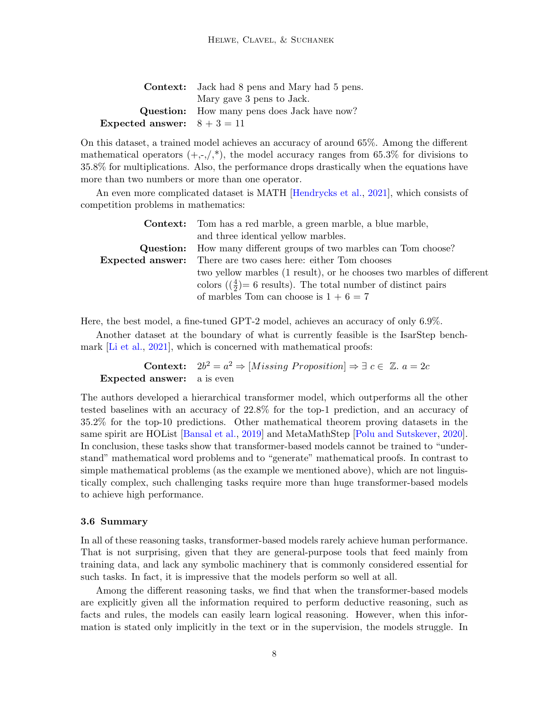|                               | <b>Context:</b> Jack had 8 pens and Mary had 5 pens. |
|-------------------------------|------------------------------------------------------|
|                               | Mary gave 3 pens to Jack.                            |
|                               | <b>Question:</b> How many pens does Jack have now?   |
| Expected answer: $8 + 3 = 11$ |                                                      |

On this dataset, a trained model achieves an accuracy of around 65%. Among the different mathematical operators  $(+,-,'^*)$ , the model accuracy ranges from 65.3% for divisions to 35.8% for multiplications. Also, the performance drops drastically when the equations have more than two numbers or more than one operator.

An even more complicated dataset is MATH [\[Hendrycks et al.,](#page-12-9) [2021\]](#page-12-9), which consists of competition problems in mathematics:

| <b>Context:</b> Tom has a red marble, a green marble, a blue marble,                 |  |
|--------------------------------------------------------------------------------------|--|
| and three identical vellow marbles.                                                  |  |
| <b>Question:</b> How many different groups of two marbles can Tom choose?            |  |
| <b>Expected answer:</b> There are two cases here: either Tom chooses                 |  |
| two yellow marbles (1 result), or he chooses two marbles of different                |  |
| colors ( $\left(\frac{4}{2}\right)$ = 6 results). The total number of distinct pairs |  |
| of marbles Tom can choose is $1 + 6 = 7$                                             |  |

Here, the best model, a fine-tuned GPT-2 model, achieves an accuracy of only 6.9%.

Another dataset at the boundary of what is currently feasible is the IsarStep bench-mark [\[Li et al.,](#page-13-10) [2021\]](#page-13-10), which is concerned with mathematical proofs:

Context:  $2b^2 = a^2 \Rightarrow [Missing\, Proposition] \Rightarrow \exists \, c \in \mathbb{Z}. a = 2c$ Expected answer: a is even

The authors developed a hierarchical transformer model, which outperforms all the other tested baselines with an accuracy of 22.8% for the top-1 prediction, and an accuracy of 35.2% for the top-10 predictions. Other mathematical theorem proving datasets in the same spirit are HOList [\[Bansal et al.,](#page-10-4) [2019\]](#page-10-4) and MetaMathStep [\[Polu and Sutskever,](#page-15-11) [2020\]](#page-15-11). In conclusion, these tasks show that transformer-based models cannot be trained to "understand" mathematical word problems and to "generate" mathematical proofs. In contrast to simple mathematical problems (as the example we mentioned above), which are not linguistically complex, such challenging tasks require more than huge transformer-based models to achieve high performance.

#### 3.6 Summary

In all of these reasoning tasks, transformer-based models rarely achieve human performance. That is not surprising, given that they are general-purpose tools that feed mainly from training data, and lack any symbolic machinery that is commonly considered essential for such tasks. In fact, it is impressive that the models perform so well at all.

Among the different reasoning tasks, we find that when the transformer-based models are explicitly given all the information required to perform deductive reasoning, such as facts and rules, the models can easily learn logical reasoning. However, when this information is stated only implicitly in the text or in the supervision, the models struggle. In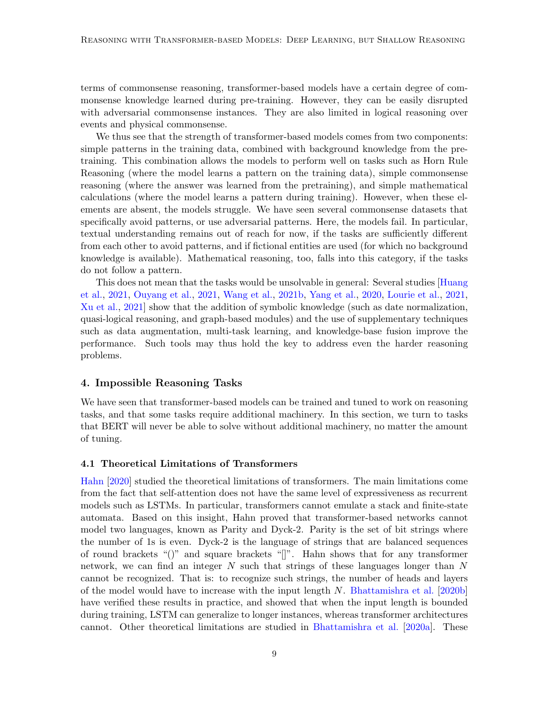terms of commonsense reasoning, transformer-based models have a certain degree of commonsense knowledge learned during pre-training. However, they can be easily disrupted with adversarial commonsense instances. They are also limited in logical reasoning over events and physical commonsense.

We thus see that the strength of transformer-based models comes from two components: simple patterns in the training data, combined with background knowledge from the pretraining. This combination allows the models to perform well on tasks such as Horn Rule Reasoning (where the model learns a pattern on the training data), simple commonsense reasoning (where the answer was learned from the pretraining), and simple mathematical calculations (where the model learns a pattern during training). However, when these elements are absent, the models struggle. We have seen several commonsense datasets that specifically avoid patterns, or use adversarial patterns. Here, the models fail. In particular, textual understanding remains out of reach for now, if the tasks are sufficiently different from each other to avoid patterns, and if fictional entities are used (for which no background knowledge is available). Mathematical reasoning, too, falls into this category, if the tasks do not follow a pattern.

This does not mean that the tasks would be unsolvable in general: Several studies [\[Huang](#page-12-7) [et al.,](#page-12-7) [2021,](#page-12-7) [Ouyang et al.,](#page-14-6) [2021,](#page-14-6) [Wang et al.,](#page-16-11) [2021b,](#page-16-11) [Yang et al.,](#page-17-4) [2020,](#page-17-4) [Lourie et al.,](#page-14-4) [2021,](#page-14-4) [Xu et al.,](#page-17-5) [2021\]](#page-17-5) show that the addition of symbolic knowledge (such as date normalization, quasi-logical reasoning, and graph-based modules) and the use of supplementary techniques such as data augmentation, multi-task learning, and knowledge-base fusion improve the performance. Such tools may thus hold the key to address even the harder reasoning problems.

### <span id="page-8-0"></span>4. Impossible Reasoning Tasks

We have seen that transformer-based models can be trained and tuned to work on reasoning tasks, and that some tasks require additional machinery. In this section, we turn to tasks that BERT will never be able to solve without additional machinery, no matter the amount of tuning.

### 4.1 Theoretical Limitations of Transformers

[Hahn](#page-12-10) [\[2020\]](#page-12-10) studied the theoretical limitations of transformers. The main limitations come from the fact that self-attention does not have the same level of expressiveness as recurrent models such as LSTMs. In particular, transformers cannot emulate a stack and finite-state automata. Based on this insight, Hahn proved that transformer-based networks cannot model two languages, known as Parity and Dyck-2. Parity is the set of bit strings where the number of 1s is even. Dyck-2 is the language of strings that are balanced sequences of round brackets "()" and square brackets "[]". Hahn shows that for any transformer network, we can find an integer  $N$  such that strings of these languages longer than  $N$ cannot be recognized. That is: to recognize such strings, the number of heads and layers of the model would have to increase with the input length  $N$ . [Bhattamishra et al.](#page-10-5) [\[2020b\]](#page-10-5) have verified these results in practice, and showed that when the input length is bounded during training, LSTM can generalize to longer instances, whereas transformer architectures cannot. Other theoretical limitations are studied in [Bhattamishra et al.](#page-10-6) [\[2020a\]](#page-10-6). These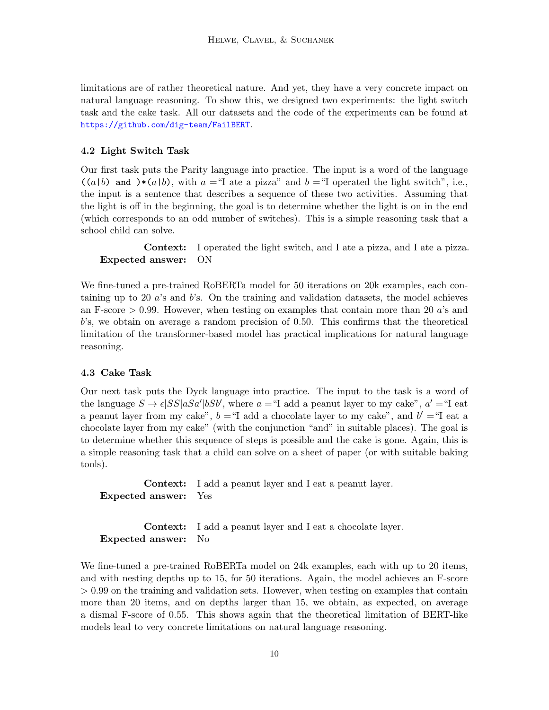limitations are of rather theoretical nature. And yet, they have a very concrete impact on natural language reasoning. To show this, we designed two experiments: the light switch task and the cake task. All our datasets and the code of the experiments can be found at <https://github.com/dig-team/FailBERT>.

### <span id="page-9-0"></span>4.2 Light Switch Task

Our first task puts the Parity language into practice. The input is a word of the language  $((a|b)$  and  $)*(a|b)$ , with  $a =$ "I ate a pizza" and  $b =$ "I operated the light switch", i.e., the input is a sentence that describes a sequence of these two activities. Assuming that the light is off in the beginning, the goal is to determine whether the light is on in the end (which corresponds to an odd number of switches). This is a simple reasoning task that a school child can solve.

Context: I operated the light switch, and I ate a pizza, and I ate a pizza. Expected answer: ON

We fine-tuned a pre-trained RoBERTa model for 50 iterations on 20k examples, each containing up to 20  $\alpha$ 's and  $\beta$ 's. On the training and validation datasets, the model achieves an F-score  $> 0.99$ . However, when testing on examples that contain more than 20 a's and b's, we obtain on average a random precision of 0.50. This confirms that the theoretical limitation of the transformer-based model has practical implications for natural language reasoning.

### <span id="page-9-1"></span>4.3 Cake Task

Our next task puts the Dyck language into practice. The input to the task is a word of the language  $S \to \epsilon |SS|$ a $Sa'|bSb'$ , where  $a =$ "I add a peanut layer to my cake",  $a' =$ "I eat a peanut layer from my cake",  $b = 1$  add a chocolate layer to my cake", and  $b' = 1$  eat a chocolate layer from my cake" (with the conjunction "and" in suitable places). The goal is to determine whether this sequence of steps is possible and the cake is gone. Again, this is a simple reasoning task that a child can solve on a sheet of paper (or with suitable baking tools).

Context: I add a peanut layer and I eat a peanut layer. Expected answer: Yes

Context: I add a peanut layer and I eat a chocolate layer. Expected answer: No

We fine-tuned a pre-trained RoBERTa model on 24k examples, each with up to 20 items, and with nesting depths up to 15, for 50 iterations. Again, the model achieves an F-score > 0.99 on the training and validation sets. However, when testing on examples that contain more than 20 items, and on depths larger than 15, we obtain, as expected, on average a dismal F-score of 0.55. This shows again that the theoretical limitation of BERT-like models lead to very concrete limitations on natural language reasoning.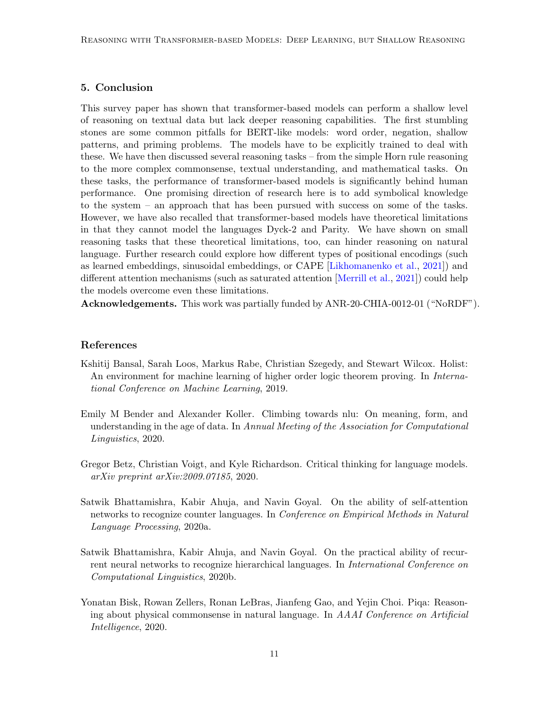## <span id="page-10-0"></span>5. Conclusion

This survey paper has shown that transformer-based models can perform a shallow level of reasoning on textual data but lack deeper reasoning capabilities. The first stumbling stones are some common pitfalls for BERT-like models: word order, negation, shallow patterns, and priming problems. The models have to be explicitly trained to deal with these. We have then discussed several reasoning tasks – from the simple Horn rule reasoning to the more complex commonsense, textual understanding, and mathematical tasks. On these tasks, the performance of transformer-based models is significantly behind human performance. One promising direction of research here is to add symbolical knowledge to the system – an approach that has been pursued with success on some of the tasks. However, we have also recalled that transformer-based models have theoretical limitations in that they cannot model the languages Dyck-2 and Parity. We have shown on small reasoning tasks that these theoretical limitations, too, can hinder reasoning on natural language. Further research could explore how different types of positional encodings (such as learned embeddings, sinusoidal embeddings, or CAPE [\[Likhomanenko et al.,](#page-13-11) [2021\]](#page-13-11)) and different attention mechanisms (such as saturated attention [\[Merrill et al.,](#page-14-11) [2021\]](#page-14-11)) could help the models overcome even these limitations.

Acknowledgements. This work was partially funded by ANR-20-CHIA-0012-01 ("NoRDF").

### References

- <span id="page-10-4"></span>Kshitij Bansal, Sarah Loos, Markus Rabe, Christian Szegedy, and Stewart Wilcox. Holist: An environment for machine learning of higher order logic theorem proving. In *Interna*tional Conference on Machine Learning, 2019.
- <span id="page-10-2"></span>Emily M Bender and Alexander Koller. Climbing towards nlu: On meaning, form, and understanding in the age of data. In Annual Meeting of the Association for Computational Linguistics, 2020.
- <span id="page-10-1"></span>Gregor Betz, Christian Voigt, and Kyle Richardson. Critical thinking for language models. arXiv preprint arXiv:2009.07185, 2020.
- <span id="page-10-6"></span>Satwik Bhattamishra, Kabir Ahuja, and Navin Goyal. On the ability of self-attention networks to recognize counter languages. In Conference on Empirical Methods in Natural Language Processing, 2020a.
- <span id="page-10-5"></span>Satwik Bhattamishra, Kabir Ahuja, and Navin Goyal. On the practical ability of recurrent neural networks to recognize hierarchical languages. In International Conference on Computational Linguistics, 2020b.
- <span id="page-10-3"></span>Yonatan Bisk, Rowan Zellers, Ronan LeBras, Jianfeng Gao, and Yejin Choi. Piqa: Reasoning about physical commonsense in natural language. In AAAI Conference on Artificial Intelligence, 2020.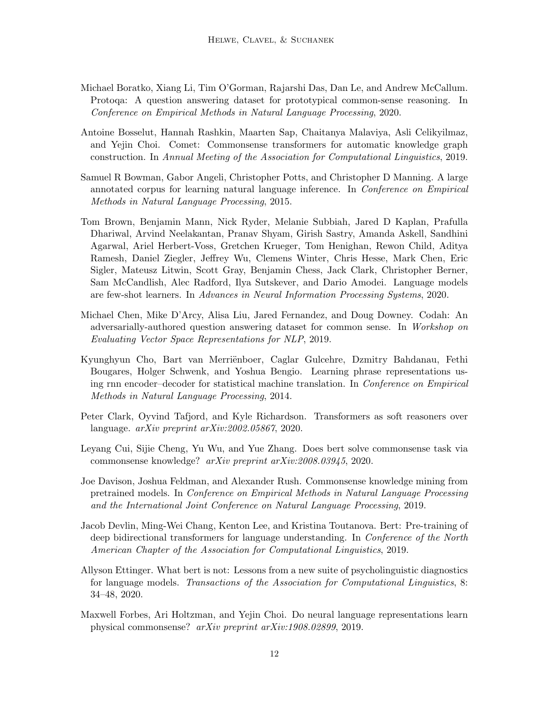- <span id="page-11-10"></span>Michael Boratko, Xiang Li, Tim O'Gorman, Rajarshi Das, Dan Le, and Andrew McCallum. Protoqa: A question answering dataset for prototypical common-sense reasoning. In Conference on Empirical Methods in Natural Language Processing, 2020.
- <span id="page-11-6"></span>Antoine Bosselut, Hannah Rashkin, Maarten Sap, Chaitanya Malaviya, Asli Celikyilmaz, and Yejin Choi. Comet: Commonsense transformers for automatic knowledge graph construction. In Annual Meeting of the Association for Computational Linguistics, 2019.
- <span id="page-11-11"></span>Samuel R Bowman, Gabor Angeli, Christopher Potts, and Christopher D Manning. A large annotated corpus for learning natural language inference. In Conference on Empirical Methods in Natural Language Processing, 2015.
- <span id="page-11-1"></span>Tom Brown, Benjamin Mann, Nick Ryder, Melanie Subbiah, Jared D Kaplan, Prafulla Dhariwal, Arvind Neelakantan, Pranav Shyam, Girish Sastry, Amanda Askell, Sandhini Agarwal, Ariel Herbert-Voss, Gretchen Krueger, Tom Henighan, Rewon Child, Aditya Ramesh, Daniel Ziegler, Jeffrey Wu, Clemens Winter, Chris Hesse, Mark Chen, Eric Sigler, Mateusz Litwin, Scott Gray, Benjamin Chess, Jack Clark, Christopher Berner, Sam McCandlish, Alec Radford, Ilya Sutskever, and Dario Amodei. Language models are few-shot learners. In Advances in Neural Information Processing Systems, 2020.
- <span id="page-11-8"></span>Michael Chen, Mike D'Arcy, Alisa Liu, Jared Fernandez, and Doug Downey. Codah: An adversarially-authored question answering dataset for common sense. In Workshop on Evaluating Vector Space Representations for NLP, 2019.
- <span id="page-11-2"></span>Kyunghyun Cho, Bart van Merriënboer, Caglar Gulcehre, Dzmitry Bahdanau, Fethi Bougares, Holger Schwenk, and Yoshua Bengio. Learning phrase representations using rnn encoder–decoder for statistical machine translation. In Conference on Empirical Methods in Natural Language Processing, 2014.
- <span id="page-11-4"></span>Peter Clark, Oyvind Tafjord, and Kyle Richardson. Transformers as soft reasoners over language. arXiv preprint arXiv:2002.05867, 2020.
- <span id="page-11-7"></span>Leyang Cui, Sijie Cheng, Yu Wu, and Yue Zhang. Does bert solve commonsense task via commonsense knowledge? arXiv preprint arXiv:2008.03945, 2020.
- <span id="page-11-5"></span>Joe Davison, Joshua Feldman, and Alexander Rush. Commonsense knowledge mining from pretrained models. In Conference on Empirical Methods in Natural Language Processing and the International Joint Conference on Natural Language Processing, 2019.
- <span id="page-11-0"></span>Jacob Devlin, Ming-Wei Chang, Kenton Lee, and Kristina Toutanova. Bert: Pre-training of deep bidirectional transformers for language understanding. In Conference of the North American Chapter of the Association for Computational Linguistics, 2019.
- <span id="page-11-3"></span>Allyson Ettinger. What bert is not: Lessons from a new suite of psycholinguistic diagnostics for language models. Transactions of the Association for Computational Linguistics, 8: 34–48, 2020.
- <span id="page-11-9"></span>Maxwell Forbes, Ari Holtzman, and Yejin Choi. Do neural language representations learn physical commonsense? arXiv preprint arXiv:1908.02899, 2019.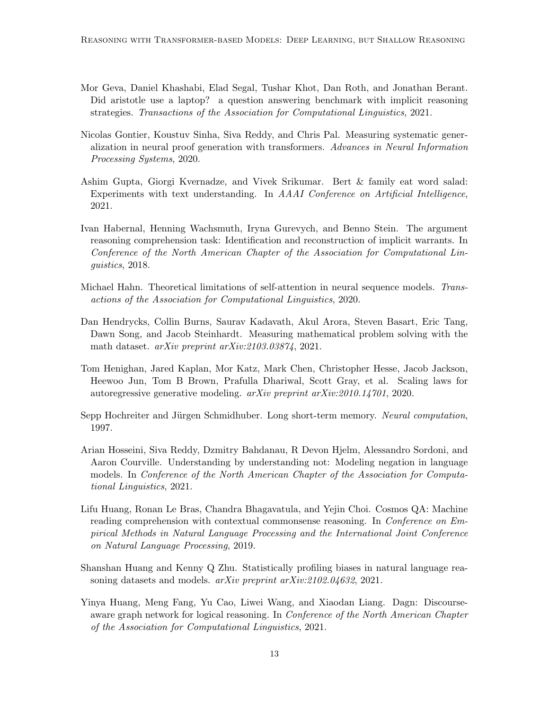- <span id="page-12-6"></span>Mor Geva, Daniel Khashabi, Elad Segal, Tushar Khot, Dan Roth, and Jonathan Berant. Did aristotle use a laptop? a question answering benchmark with implicit reasoning strategies. Transactions of the Association for Computational Linguistics, 2021.
- <span id="page-12-3"></span>Nicolas Gontier, Koustuv Sinha, Siva Reddy, and Chris Pal. Measuring systematic generalization in neural proof generation with transformers. Advances in Neural Information Processing Systems, 2020.
- <span id="page-12-2"></span>Ashim Gupta, Giorgi Kvernadze, and Vivek Srikumar. Bert & family eat word salad: Experiments with text understanding. In AAAI Conference on Artificial Intelligence, 2021.
- <span id="page-12-11"></span>Ivan Habernal, Henning Wachsmuth, Iryna Gurevych, and Benno Stein. The argument reasoning comprehension task: Identification and reconstruction of implicit warrants. In Conference of the North American Chapter of the Association for Computational Linguistics, 2018.
- <span id="page-12-10"></span>Michael Hahn. Theoretical limitations of self-attention in neural sequence models. Transactions of the Association for Computational Linguistics, 2020.
- <span id="page-12-9"></span>Dan Hendrycks, Collin Burns, Saurav Kadavath, Akul Arora, Steven Basart, Eric Tang, Dawn Song, and Jacob Steinhardt. Measuring mathematical problem solving with the math dataset. arXiv preprint arXiv:2103.03874, 2021.
- <span id="page-12-8"></span>Tom Henighan, Jared Kaplan, Mor Katz, Mark Chen, Christopher Hesse, Jacob Jackson, Heewoo Jun, Tom B Brown, Prafulla Dhariwal, Scott Gray, et al. Scaling laws for autoregressive generative modeling. arXiv preprint arXiv:2010.14701, 2020.
- <span id="page-12-0"></span>Sepp Hochreiter and Jürgen Schmidhuber. Long short-term memory. Neural computation, 1997.
- <span id="page-12-1"></span>Arian Hosseini, Siva Reddy, Dzmitry Bahdanau, R Devon Hjelm, Alessandro Sordoni, and Aaron Courville. Understanding by understanding not: Modeling negation in language models. In Conference of the North American Chapter of the Association for Computational Linguistics, 2021.
- <span id="page-12-4"></span>Lifu Huang, Ronan Le Bras, Chandra Bhagavatula, and Yejin Choi. Cosmos QA: Machine reading comprehension with contextual commonsense reasoning. In *Conference on Em*pirical Methods in Natural Language Processing and the International Joint Conference on Natural Language Processing, 2019.
- <span id="page-12-5"></span>Shanshan Huang and Kenny Q Zhu. Statistically profiling biases in natural language reasoning datasets and models. *arXiv preprint arXiv:2102.04632*, 2021.
- <span id="page-12-7"></span>Yinya Huang, Meng Fang, Yu Cao, Liwei Wang, and Xiaodan Liang. Dagn: Discourseaware graph network for logical reasoning. In Conference of the North American Chapter of the Association for Computational Linguistics, 2021.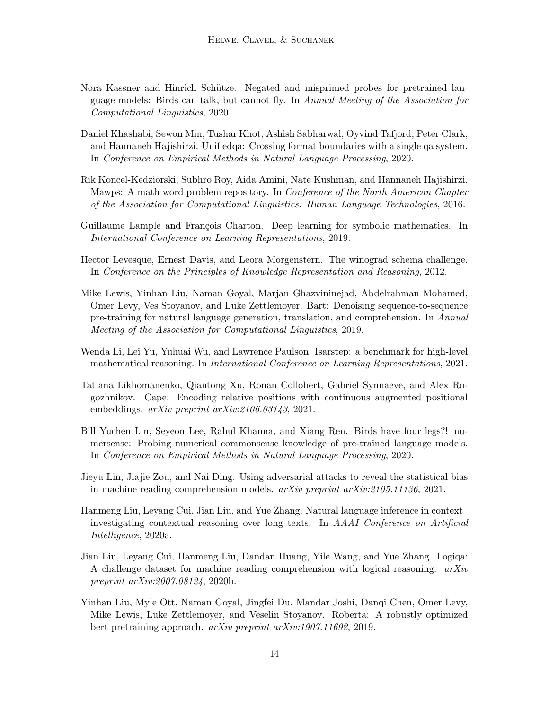- <span id="page-13-0"></span>Nora Kassner and Hinrich Schütze. Negated and misprimed probes for pretrained language models: Birds can talk, but cannot fly. In Annual Meeting of the Association for Computational Linguistics, 2020.
- <span id="page-13-3"></span>Daniel Khashabi, Sewon Min, Tushar Khot, Ashish Sabharwal, Oyvind Tafjord, Peter Clark, and Hannaneh Hajishirzi. Unifiedqa: Crossing format boundaries with a single qa system. In Conference on Empirical Methods in Natural Language Processing, 2020.
- <span id="page-13-9"></span>Rik Koncel-Kedziorski, Subhro Roy, Aida Amini, Nate Kushman, and Hannaneh Hajishirzi. Mawps: A math word problem repository. In Conference of the North American Chapter of the Association for Computational Linguistics: Human Language Technologies, 2016.
- <span id="page-13-8"></span>Guillaume Lample and François Charton. Deep learning for symbolic mathematics. In International Conference on Learning Representations, 2019.
- <span id="page-13-1"></span>Hector Levesque, Ernest Davis, and Leora Morgenstern. The winograd schema challenge. In Conference on the Principles of Knowledge Representation and Reasoning, 2012.
- <span id="page-13-12"></span>Mike Lewis, Yinhan Liu, Naman Goyal, Marjan Ghazvininejad, Abdelrahman Mohamed, Omer Levy, Ves Stoyanov, and Luke Zettlemoyer. Bart: Denoising sequence-to-sequence pre-training for natural language generation, translation, and comprehension. In Annual Meeting of the Association for Computational Linguistics, 2019.
- <span id="page-13-10"></span>Wenda Li, Lei Yu, Yuhuai Wu, and Lawrence Paulson. Isarstep: a benchmark for high-level mathematical reasoning. In International Conference on Learning Representations, 2021.
- <span id="page-13-11"></span>Tatiana Likhomanenko, Qiantong Xu, Ronan Collobert, Gabriel Synnaeve, and Alex Rogozhnikov. Cape: Encoding relative positions with continuous augmented positional embeddings. arXiv preprint arXiv:2106.03143, 2021.
- <span id="page-13-2"></span>Bill Yuchen Lin, Seyeon Lee, Rahul Khanna, and Xiang Ren. Birds have four legs?! numersense: Probing numerical commonsense knowledge of pre-trained language models. In Conference on Empirical Methods in Natural Language Processing, 2020.
- <span id="page-13-4"></span>Jieyu Lin, Jiajie Zou, and Nai Ding. Using adversarial attacks to reveal the statistical bias in machine reading comprehension models.  $arXiv$  preprint  $arXiv:2105.11136$ , 2021.
- <span id="page-13-7"></span>Hanmeng Liu, Leyang Cui, Jian Liu, and Yue Zhang. Natural language inference in context– investigating contextual reasoning over long texts. In AAAI Conference on Artificial Intelligence, 2020a.
- <span id="page-13-5"></span>Jian Liu, Leyang Cui, Hanmeng Liu, Dandan Huang, Yile Wang, and Yue Zhang. Logiqa: A challenge dataset for machine reading comprehension with logical reasoning.  $arXiv$ preprint arXiv:2007.08124, 2020b.
- <span id="page-13-6"></span>Yinhan Liu, Myle Ott, Naman Goyal, Jingfei Du, Mandar Joshi, Danqi Chen, Omer Levy, Mike Lewis, Luke Zettlemoyer, and Veselin Stoyanov. Roberta: A robustly optimized bert pretraining approach. arXiv preprint arXiv:1907.11692, 2019.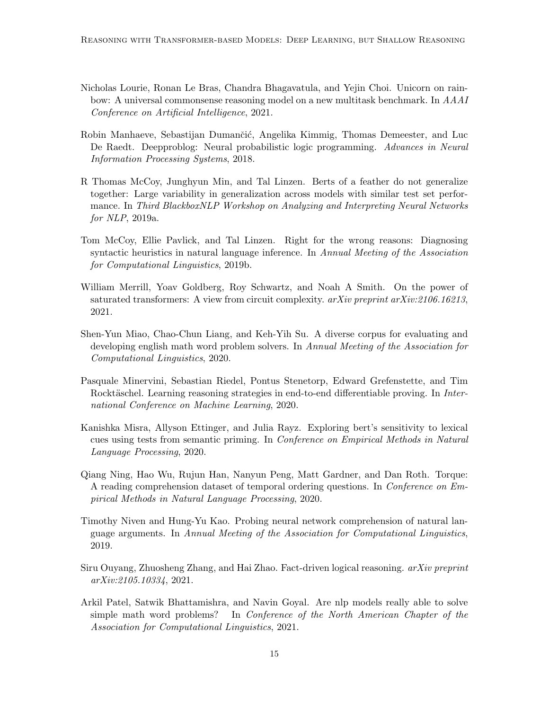- <span id="page-14-4"></span>Nicholas Lourie, Ronan Le Bras, Chandra Bhagavatula, and Yejin Choi. Unicorn on rainbow: A universal commonsense reasoning model on a new multitask benchmark. In AAAI Conference on Artificial Intelligence, 2021.
- <span id="page-14-8"></span>Robin Manhaeve, Sebastijan Dumančić, Angelika Kimmig, Thomas Demeester, and Luc De Raedt. Deepproblog: Neural probabilistic logic programming. Advances in Neural Information Processing Systems, 2018.
- <span id="page-14-3"></span>R Thomas McCoy, Junghyun Min, and Tal Linzen. Berts of a feather do not generalize together: Large variability in generalization across models with similar test set performance. In Third BlackboxNLP Workshop on Analyzing and Interpreting Neural Networks for NLP, 2019a.
- <span id="page-14-2"></span>Tom McCoy, Ellie Pavlick, and Tal Linzen. Right for the wrong reasons: Diagnosing syntactic heuristics in natural language inference. In Annual Meeting of the Association for Computational Linguistics, 2019b.
- <span id="page-14-11"></span>William Merrill, Yoav Goldberg, Roy Schwartz, and Noah A Smith. On the power of saturated transformers: A view from circuit complexity. arXiv preprint arXiv:2106.16213, 2021.
- <span id="page-14-9"></span>Shen-Yun Miao, Chao-Chun Liang, and Keh-Yih Su. A diverse corpus for evaluating and developing english math word problem solvers. In Annual Meeting of the Association for Computational Linguistics, 2020.
- <span id="page-14-7"></span>Pasquale Minervini, Sebastian Riedel, Pontus Stenetorp, Edward Grefenstette, and Tim Rocktäschel. Learning reasoning strategies in end-to-end differentiable proving. In International Conference on Machine Learning, 2020.
- <span id="page-14-1"></span>Kanishka Misra, Allyson Ettinger, and Julia Rayz. Exploring bert's sensitivity to lexical cues using tests from semantic priming. In Conference on Empirical Methods in Natural Language Processing, 2020.
- <span id="page-14-5"></span>Qiang Ning, Hao Wu, Rujun Han, Nanyun Peng, Matt Gardner, and Dan Roth. Torque: A reading comprehension dataset of temporal ordering questions. In Conference on Empirical Methods in Natural Language Processing, 2020.
- <span id="page-14-0"></span>Timothy Niven and Hung-Yu Kao. Probing neural network comprehension of natural language arguments. In Annual Meeting of the Association for Computational Linguistics, 2019.
- <span id="page-14-6"></span>Siru Ouyang, Zhuosheng Zhang, and Hai Zhao. Fact-driven logical reasoning. arXiv preprint arXiv:2105.10334, 2021.
- <span id="page-14-10"></span>Arkil Patel, Satwik Bhattamishra, and Navin Goyal. Are nlp models really able to solve simple math word problems? In Conference of the North American Chapter of the Association for Computational Linguistics, 2021.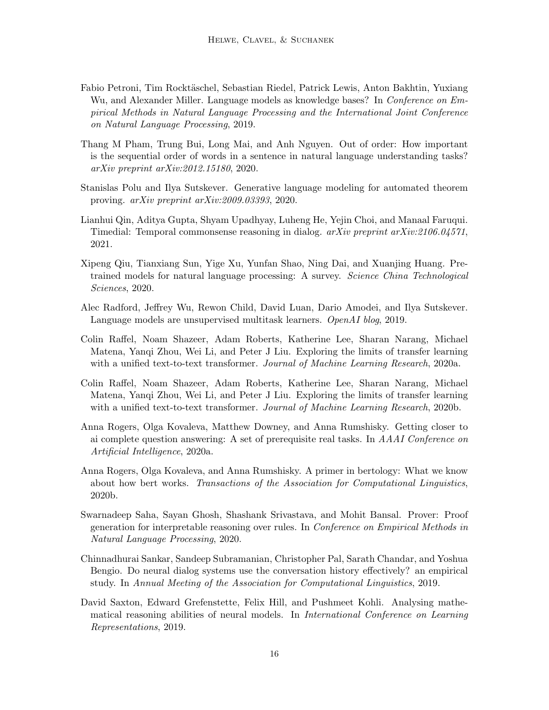- <span id="page-15-3"></span>Fabio Petroni, Tim Rocktäschel, Sebastian Riedel, Patrick Lewis, Anton Bakhtin, Yuxiang Wu, and Alexander Miller. Language models as knowledge bases? In *Conference on Em*pirical Methods in Natural Language Processing and the International Joint Conference on Natural Language Processing, 2019.
- <span id="page-15-5"></span>Thang M Pham, Trung Bui, Long Mai, and Anh Nguyen. Out of order: How important is the sequential order of words in a sentence in natural language understanding tasks? arXiv preprint arXiv:2012.15180, 2020.
- <span id="page-15-11"></span>Stanislas Polu and Ilya Sutskever. Generative language modeling for automated theorem proving. arXiv preprint arXiv:2009.03393, 2020.
- <span id="page-15-7"></span>Lianhui Qin, Aditya Gupta, Shyam Upadhyay, Luheng He, Yejin Choi, and Manaal Faruqui. Timedial: Temporal commonsense reasoning in dialog. arXiv preprint arXiv:2106.04571, 2021.
- <span id="page-15-2"></span>Xipeng Qiu, Tianxiang Sun, Yige Xu, Yunfan Shao, Ning Dai, and Xuanjing Huang. Pretrained models for natural language processing: A survey. Science China Technological Sciences, 2020.
- <span id="page-15-9"></span>Alec Radford, Jeffrey Wu, Rewon Child, David Luan, Dario Amodei, and Ilya Sutskever. Language models are unsupervised multitask learners. OpenAI blog, 2019.
- <span id="page-15-0"></span>Colin Raffel, Noam Shazeer, Adam Roberts, Katherine Lee, Sharan Narang, Michael Matena, Yanqi Zhou, Wei Li, and Peter J Liu. Exploring the limits of transfer learning with a unified text-to-text transformer. Journal of Machine Learning Research, 2020a.
- <span id="page-15-12"></span>Colin Raffel, Noam Shazeer, Adam Roberts, Katherine Lee, Sharan Narang, Michael Matena, Yanqi Zhou, Wei Li, and Peter J Liu. Exploring the limits of transfer learning with a unified text-to-text transformer. Journal of Machine Learning Research, 2020b.
- <span id="page-15-8"></span>Anna Rogers, Olga Kovaleva, Matthew Downey, and Anna Rumshisky. Getting closer to ai complete question answering: A set of prerequisite real tasks. In AAAI Conference on Artificial Intelligence, 2020a.
- <span id="page-15-1"></span>Anna Rogers, Olga Kovaleva, and Anna Rumshisky. A primer in bertology: What we know about how bert works. Transactions of the Association for Computational Linguistics, 2020b.
- <span id="page-15-6"></span>Swarnadeep Saha, Sayan Ghosh, Shashank Srivastava, and Mohit Bansal. Prover: Proof generation for interpretable reasoning over rules. In Conference on Empirical Methods in Natural Language Processing, 2020.
- <span id="page-15-4"></span>Chinnadhurai Sankar, Sandeep Subramanian, Christopher Pal, Sarath Chandar, and Yoshua Bengio. Do neural dialog systems use the conversation history effectively? an empirical study. In Annual Meeting of the Association for Computational Linguistics, 2019.
- <span id="page-15-10"></span>David Saxton, Edward Grefenstette, Felix Hill, and Pushmeet Kohli. Analysing mathematical reasoning abilities of neural models. In International Conference on Learning Representations, 2019.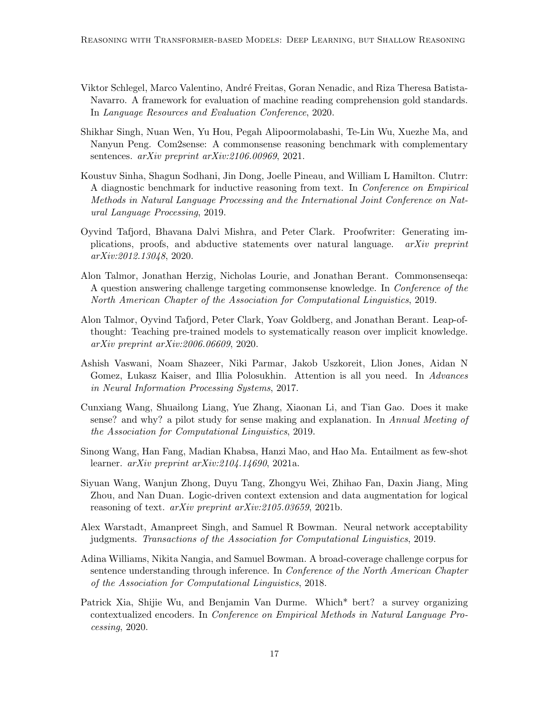- <span id="page-16-9"></span>Viktor Schlegel, Marco Valentino, André Freitas, Goran Nenadic, and Riza Theresa Batista-Navarro. A framework for evaluation of machine reading comprehension gold standards. In Language Resources and Evaluation Conference, 2020.
- <span id="page-16-7"></span>Shikhar Singh, Nuan Wen, Yu Hou, Pegah Alipoormolabashi, Te-Lin Wu, Xuezhe Ma, and Nanyun Peng. Com2sense: A commonsense reasoning benchmark with complementary sentences. arXiv preprint arXiv:2106.00969, 2021.
- <span id="page-16-10"></span>Koustuv Sinha, Shagun Sodhani, Jin Dong, Joelle Pineau, and William L Hamilton. Clutrr: A diagnostic benchmark for inductive reasoning from text. In Conference on Empirical Methods in Natural Language Processing and the International Joint Conference on Natural Language Processing, 2019.
- <span id="page-16-5"></span>Oyvind Tafjord, Bhavana Dalvi Mishra, and Peter Clark. Proofwriter: Generating implications, proofs, and abductive statements over natural language. arXiv preprint arXiv:2012.13048, 2020.
- <span id="page-16-6"></span>Alon Talmor, Jonathan Herzig, Nicholas Lourie, and Jonathan Berant. Commonsenseqa: A question answering challenge targeting commonsense knowledge. In Conference of the North American Chapter of the Association for Computational Linguistics, 2019.
- <span id="page-16-4"></span>Alon Talmor, Oyvind Tafjord, Peter Clark, Yoav Goldberg, and Jonathan Berant. Leap-ofthought: Teaching pre-trained models to systematically reason over implicit knowledge. arXiv preprint arXiv:2006.06609, 2020.
- <span id="page-16-0"></span>Ashish Vaswani, Noam Shazeer, Niki Parmar, Jakob Uszkoreit, Llion Jones, Aidan N Gomez, Lukasz Kaiser, and Illia Polosukhin. Attention is all you need. In Advances in Neural Information Processing Systems, 2017.
- <span id="page-16-12"></span>Cunxiang Wang, Shuailong Liang, Yue Zhang, Xiaonan Li, and Tian Gao. Does it make sense? and why? a pilot study for sense making and explanation. In Annual Meeting of the Association for Computational Linguistics, 2019.
- <span id="page-16-8"></span>Sinong Wang, Han Fang, Madian Khabsa, Hanzi Mao, and Hao Ma. Entailment as few-shot learner. arXiv preprint arXiv:2104.14690, 2021a.
- <span id="page-16-11"></span>Siyuan Wang, Wanjun Zhong, Duyu Tang, Zhongyu Wei, Zhihao Fan, Daxin Jiang, Ming Zhou, and Nan Duan. Logic-driven context extension and data augmentation for logical reasoning of text. arXiv preprint arXiv:2105.03659, 2021b.
- <span id="page-16-3"></span>Alex Warstadt, Amanpreet Singh, and Samuel R Bowman. Neural network acceptability judgments. Transactions of the Association for Computational Linguistics, 2019.
- <span id="page-16-2"></span>Adina Williams, Nikita Nangia, and Samuel Bowman. A broad-coverage challenge corpus for sentence understanding through inference. In Conference of the North American Chapter of the Association for Computational Linguistics, 2018.
- <span id="page-16-1"></span>Patrick Xia, Shijie Wu, and Benjamin Van Durme. Which\* bert? a survey organizing contextualized encoders. In Conference on Empirical Methods in Natural Language Processing, 2020.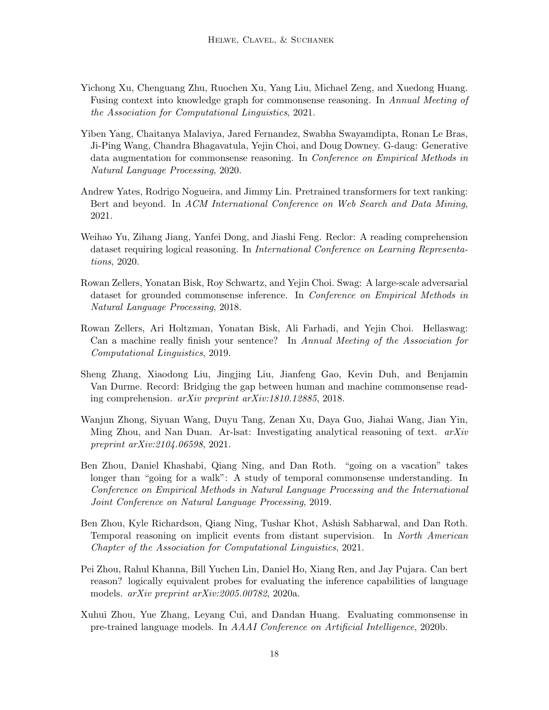- <span id="page-17-5"></span>Yichong Xu, Chenguang Zhu, Ruochen Xu, Yang Liu, Michael Zeng, and Xuedong Huang. Fusing context into knowledge graph for commonsense reasoning. In Annual Meeting of the Association for Computational Linguistics, 2021.
- <span id="page-17-4"></span>Yiben Yang, Chaitanya Malaviya, Jared Fernandez, Swabha Swayamdipta, Ronan Le Bras, Ji-Ping Wang, Chandra Bhagavatula, Yejin Choi, and Doug Downey. G-daug: Generative data augmentation for commonsense reasoning. In Conference on Empirical Methods in Natural Language Processing, 2020.
- <span id="page-17-0"></span>Andrew Yates, Rodrigo Nogueira, and Jimmy Lin. Pretrained transformers for text ranking: Bert and beyond. In ACM International Conference on Web Search and Data Mining, 2021.
- <span id="page-17-8"></span>Weihao Yu, Zihang Jiang, Yanfei Dong, and Jiashi Feng. Reclor: A reading comprehension dataset requiring logical reasoning. In International Conference on Learning Representations, 2020.
- <span id="page-17-2"></span>Rowan Zellers, Yonatan Bisk, Roy Schwartz, and Yejin Choi. Swag: A large-scale adversarial dataset for grounded commonsense inference. In *Conference on Empirical Methods in* Natural Language Processing, 2018.
- <span id="page-17-11"></span>Rowan Zellers, Ari Holtzman, Yonatan Bisk, Ali Farhadi, and Yejin Choi. Hellaswag: Can a machine really finish your sentence? In Annual Meeting of the Association for Computational Linguistics, 2019.
- <span id="page-17-3"></span>Sheng Zhang, Xiaodong Liu, Jingjing Liu, Jianfeng Gao, Kevin Duh, and Benjamin Van Durme. Record: Bridging the gap between human and machine commonsense reading comprehension. arXiv preprint arXiv:1810.12885, 2018.
- <span id="page-17-9"></span>Wanjun Zhong, Siyuan Wang, Duyu Tang, Zenan Xu, Daya Guo, Jiahai Wang, Jian Yin, Ming Zhou, and Nan Duan. Ar-lsat: Investigating analytical reasoning of text. arXiv preprint arXiv:2104.06598, 2021.
- <span id="page-17-6"></span>Ben Zhou, Daniel Khashabi, Qiang Ning, and Dan Roth. "going on a vacation" takes longer than "going for a walk": A study of temporal commonsense understanding. In Conference on Empirical Methods in Natural Language Processing and the International Joint Conference on Natural Language Processing, 2019.
- <span id="page-17-7"></span>Ben Zhou, Kyle Richardson, Qiang Ning, Tushar Khot, Ashish Sabharwal, and Dan Roth. Temporal reasoning on implicit events from distant supervision. In North American Chapter of the Association for Computational Linguistics, 2021.
- <span id="page-17-10"></span>Pei Zhou, Rahul Khanna, Bill Yuchen Lin, Daniel Ho, Xiang Ren, and Jay Pujara. Can bert reason? logically equivalent probes for evaluating the inference capabilities of language models. arXiv preprint arXiv:2005.00782, 2020a.
- <span id="page-17-1"></span>Xuhui Zhou, Yue Zhang, Leyang Cui, and Dandan Huang. Evaluating commonsense in pre-trained language models. In AAAI Conference on Artificial Intelligence, 2020b.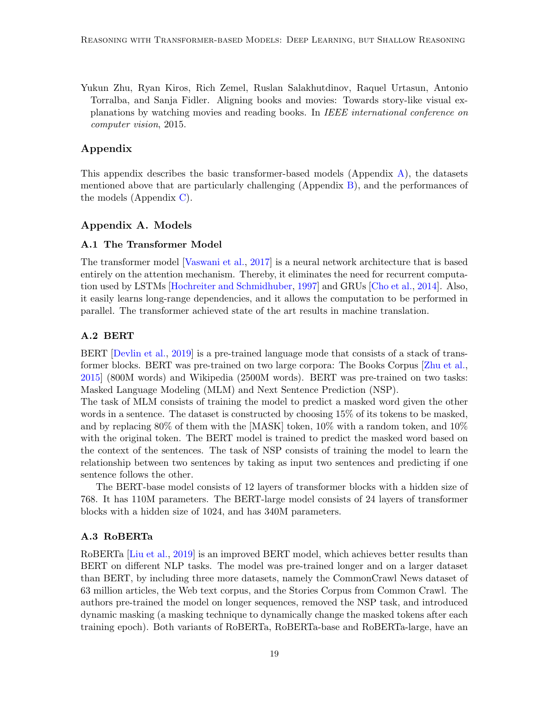<span id="page-18-0"></span>Yukun Zhu, Ryan Kiros, Rich Zemel, Ruslan Salakhutdinov, Raquel Urtasun, Antonio Torralba, and Sanja Fidler. Aligning books and movies: Towards story-like visual explanations by watching movies and reading books. In IEEE international conference on computer vision, 2015.

## Appendix

This appendix describes the basic transformer-based models (Appendix [A\)](#page-0-0), the datasets mentioned above that are particularly challenging (Appendix [B\)](#page-1-0), and the performances of the models (Appendix [C\)](#page-3-0).

### Appendix A. Models

### A.1 The Transformer Model

The transformer model [\[Vaswani et al.,](#page-16-0) [2017\]](#page-16-0) is a neural network architecture that is based entirely on the attention mechanism. Thereby, it eliminates the need for recurrent computation used by LSTMs [\[Hochreiter and Schmidhuber,](#page-12-0) [1997\]](#page-12-0) and GRUs [\[Cho et al.,](#page-11-2) [2014\]](#page-11-2). Also, it easily learns long-range dependencies, and it allows the computation to be performed in parallel. The transformer achieved state of the art results in machine translation.

### A.2 BERT

BERT [\[Devlin et al.,](#page-11-0) [2019\]](#page-11-0) is a pre-trained language mode that consists of a stack of transformer blocks. BERT was pre-trained on two large corpora: The Books Corpus [\[Zhu et al.,](#page-18-0) [2015\]](#page-18-0) (800M words) and Wikipedia (2500M words). BERT was pre-trained on two tasks: Masked Language Modeling (MLM) and Next Sentence Prediction (NSP).

The task of MLM consists of training the model to predict a masked word given the other words in a sentence. The dataset is constructed by choosing 15% of its tokens to be masked, and by replacing 80% of them with the [MASK] token, 10% with a random token, and 10% with the original token. The BERT model is trained to predict the masked word based on the context of the sentences. The task of NSP consists of training the model to learn the relationship between two sentences by taking as input two sentences and predicting if one sentence follows the other.

The BERT-base model consists of 12 layers of transformer blocks with a hidden size of 768. It has 110M parameters. The BERT-large model consists of 24 layers of transformer blocks with a hidden size of 1024, and has 340M parameters.

### A.3 RoBERTa

RoBERTa [\[Liu et al.,](#page-13-6) [2019\]](#page-13-6) is an improved BERT model, which achieves better results than BERT on different NLP tasks. The model was pre-trained longer and on a larger dataset than BERT, by including three more datasets, namely the CommonCrawl News dataset of 63 million articles, the Web text corpus, and the Stories Corpus from Common Crawl. The authors pre-trained the model on longer sequences, removed the NSP task, and introduced dynamic masking (a masking technique to dynamically change the masked tokens after each training epoch). Both variants of RoBERTa, RoBERTa-base and RoBERTa-large, have an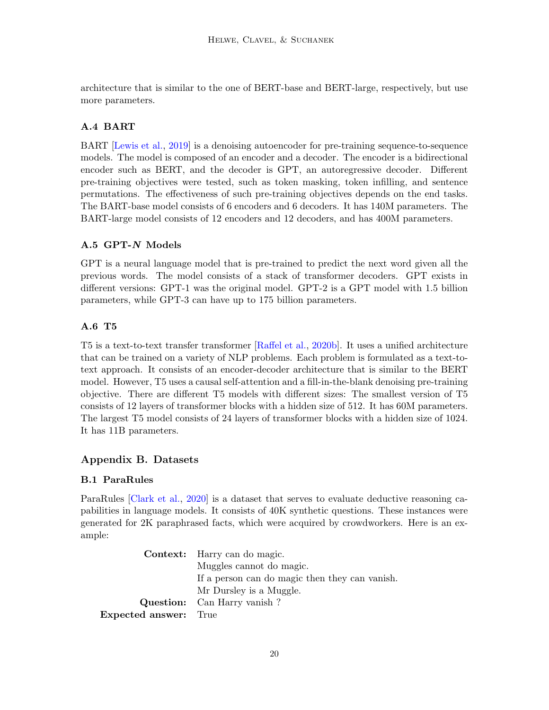architecture that is similar to the one of BERT-base and BERT-large, respectively, but use more parameters.

## A.4 BART

BART [\[Lewis et al.,](#page-13-12) [2019\]](#page-13-12) is a denoising autoencoder for pre-training sequence-to-sequence models. The model is composed of an encoder and a decoder. The encoder is a bidirectional encoder such as BERT, and the decoder is GPT, an autoregressive decoder. Different pre-training objectives were tested, such as token masking, token infilling, and sentence permutations. The effectiveness of such pre-training objectives depends on the end tasks. The BART-base model consists of 6 encoders and 6 decoders. It has 140M parameters. The BART-large model consists of 12 encoders and 12 decoders, and has 400M parameters.

## A.5 GPT-N Models

GPT is a neural language model that is pre-trained to predict the next word given all the previous words. The model consists of a stack of transformer decoders. GPT exists in different versions: GPT-1 was the original model. GPT-2 is a GPT model with 1.5 billion parameters, while GPT-3 can have up to 175 billion parameters.

## A.6 T5

T5 is a text-to-text transfer transformer [\[Raffel et al.,](#page-15-12) [2020b\]](#page-15-12). It uses a unified architecture that can be trained on a variety of NLP problems. Each problem is formulated as a text-totext approach. It consists of an encoder-decoder architecture that is similar to the BERT model. However, T5 uses a causal self-attention and a fill-in-the-blank denoising pre-training objective. There are different T5 models with different sizes: The smallest version of T5 consists of 12 layers of transformer blocks with a hidden size of 512. It has 60M parameters. The largest T5 model consists of 24 layers of transformer blocks with a hidden size of 1024. It has 11B parameters.

## Appendix B. Datasets

## B.1 ParaRules

ParaRules [\[Clark et al.,](#page-11-4) [2020\]](#page-11-4) is a dataset that serves to evaluate deductive reasoning capabilities in language models. It consists of 40K synthetic questions. These instances were generated for 2K paraphrased facts, which were acquired by crowdworkers. Here is an example:

Context: Harry can do magic. Muggles cannot do magic. If a person can do magic then they can vanish. Mr Dursley is a Muggle. Question: Can Harry vanish ? Expected answer: True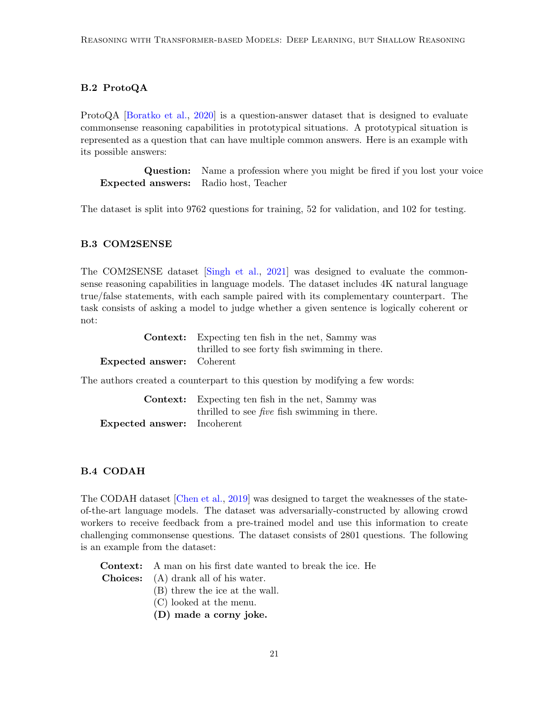## B.2 ProtoQA

ProtoQA [\[Boratko et al.,](#page-11-10) [2020\]](#page-11-10) is a question-answer dataset that is designed to evaluate commonsense reasoning capabilities in prototypical situations. A prototypical situation is represented as a question that can have multiple common answers. Here is an example with its possible answers:

Question: Name a profession where you might be fired if you lost your voice Expected answers: Radio host, Teacher

The dataset is split into 9762 questions for training, 52 for validation, and 102 for testing.

### B.3 COM2SENSE

The COM2SENSE dataset [\[Singh et al.,](#page-16-7) [2021\]](#page-16-7) was designed to evaluate the commonsense reasoning capabilities in language models. The dataset includes 4K natural language true/false statements, with each sample paired with its complementary counterpart. The task consists of asking a model to judge whether a given sentence is logically coherent or not:

|                                  | <b>Context:</b> Expecting ten fish in the net, Sammy was |  |
|----------------------------------|----------------------------------------------------------|--|
|                                  | thrilled to see forty fish swimming in there.            |  |
| <b>Expected answer:</b> Coherent |                                                          |  |

The authors created a counterpart to this question by modifying a few words:

|                                    | <b>Context:</b> Expecting ten fish in the net, Sammy was |
|------------------------------------|----------------------------------------------------------|
|                                    | thrilled to see <i>five</i> fish swimming in there.      |
| <b>Expected answer:</b> Incoherent |                                                          |

### B.4 CODAH

The CODAH dataset [\[Chen et al.,](#page-11-8) [2019\]](#page-11-8) was designed to target the weaknesses of the stateof-the-art language models. The dataset was adversarially-constructed by allowing crowd workers to receive feedback from a pre-trained model and use this information to create challenging commonsense questions. The dataset consists of 2801 questions. The following is an example from the dataset:

Context: A man on his first date wanted to break the ice. He

- Choices: (A) drank all of his water.
	- (B) threw the ice at the wall.
	- (C) looked at the menu.
	- (D) made a corny joke.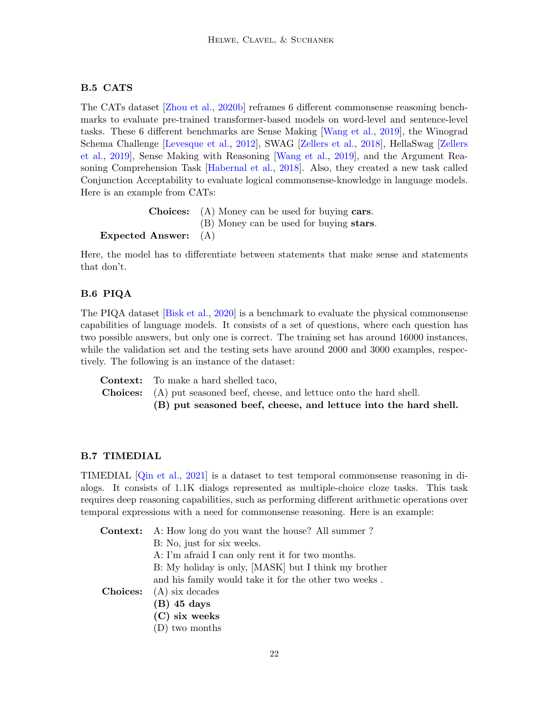### B.5 CATS

The CATs dataset [\[Zhou et al.,](#page-17-1) [2020b\]](#page-17-1) reframes 6 different commonsense reasoning benchmarks to evaluate pre-trained transformer-based models on word-level and sentence-level tasks. These 6 different benchmarks are Sense Making [\[Wang et al.,](#page-16-12) [2019\]](#page-16-12), the Winograd Schema Challenge [\[Levesque et al.,](#page-13-1) [2012\]](#page-13-1), SWAG [\[Zellers et al.,](#page-17-2) [2018\]](#page-17-2), HellaSwag [\[Zellers](#page-17-11) [et al.,](#page-17-11) [2019\]](#page-17-11), Sense Making with Reasoning [\[Wang et al.,](#page-16-12) [2019\]](#page-16-12), and the Argument Reasoning Comprehension Task [\[Habernal et al.,](#page-12-11) [2018\]](#page-12-11). Also, they created a new task called Conjunction Acceptability to evaluate logical commonsense-knowledge in language models. Here is an example from CATs:

```
Choices: (A) Money can be used for buying cars.
                     (B) Money can be used for buying stars.
Expected Answer: (A)
```
Here, the model has to differentiate between statements that make sense and statements that don't.

## B.6 PIQA

The PIQA dataset [\[Bisk et al.,](#page-10-3) [2020\]](#page-10-3) is a benchmark to evaluate the physical commonsense capabilities of language models. It consists of a set of questions, where each question has two possible answers, but only one is correct. The training set has around 16000 instances, while the validation set and the testing sets have around 2000 and 3000 examples, respectively. The following is an instance of the dataset:

Context: To make a hard shelled taco, Choices: (A) put seasoned beef, cheese, and lettuce onto the hard shell. (B) put seasoned beef, cheese, and lettuce into the hard shell.

### B.7 TIMEDIAL

TIMEDIAL [\[Qin et al.,](#page-15-7) [2021\]](#page-15-7) is a dataset to test temporal commonsense reasoning in dialogs. It consists of 1.1K dialogs represented as multiple-choice cloze tasks. This task requires deep reasoning capabilities, such as performing different arithmetic operations over temporal expressions with a need for commonsense reasoning. Here is an example:

Context: A: How long do you want the house? All summer ? B: No, just for six weeks. A: I'm afraid I can only rent it for two months. B: My holiday is only, [MASK] but I think my brother and his family would take it for the other two weeks . Choices: (A) six decades (B) 45 days (C) six weeks (D) two months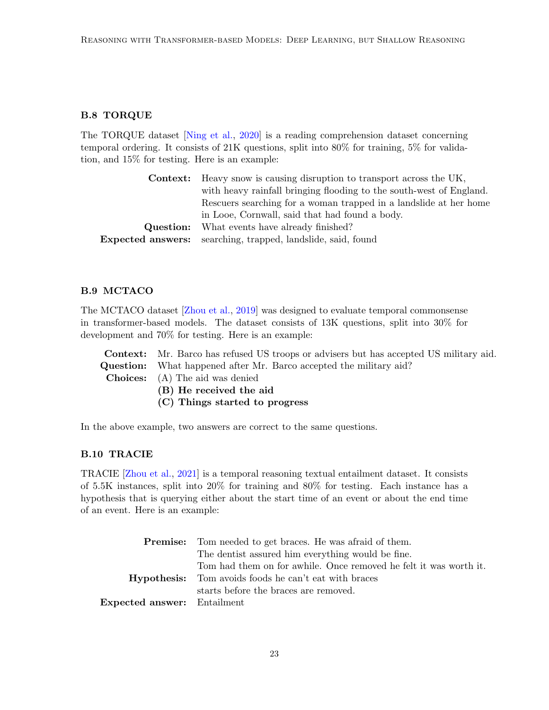## B.8 TORQUE

The TORQUE dataset [\[Ning et al.,](#page-14-5) [2020\]](#page-14-5) is a reading comprehension dataset concerning temporal ordering. It consists of 21K questions, split into 80% for training, 5% for validation, and 15% for testing. Here is an example:

| <b>Context:</b> Heavy snow is causing disruption to transport across the UK, |                                                                     |
|------------------------------------------------------------------------------|---------------------------------------------------------------------|
|                                                                              | with heavy rainfall bringing flooding to the south-west of England. |
|                                                                              | Rescuers searching for a woman trapped in a landslide at her home   |
|                                                                              | in Looe, Cornwall, said that had found a body.                      |
| Question:                                                                    | What events have already finished?                                  |
|                                                                              | <b>Expected answers:</b> searching, trapped, landslide, said, found |
|                                                                              |                                                                     |

## B.9 MCTACO

The MCTACO dataset [\[Zhou et al.,](#page-17-6) [2019\]](#page-17-6) was designed to evaluate temporal commonsense in transformer-based models. The dataset consists of 13K questions, split into 30% for development and 70% for testing. Here is an example:

Context: Mr. Barco has refused US troops or advisers but has accepted US military aid. Question: What happened after Mr. Barco accepted the military aid? Choices: (A) The aid was denied (B) He received the aid

(C) Things started to progress

In the above example, two answers are correct to the same questions.

## B.10 TRACIE

TRACIE [\[Zhou et al.,](#page-17-7) [2021\]](#page-17-7) is a temporal reasoning textual entailment dataset. It consists of 5.5K instances, split into 20% for training and 80% for testing. Each instance has a hypothesis that is querying either about the start time of an event or about the end time of an event. Here is an example:

|                                    | <b>Premise:</b> Tom needed to get braces. He was afraid of them.  |  |
|------------------------------------|-------------------------------------------------------------------|--|
|                                    | The dentist assured him everything would be fine.                 |  |
|                                    | Tom had them on for awhile. Once removed he felt it was worth it. |  |
|                                    | <b>Hypothesis:</b> Tom avoids foods he can't eat with braces      |  |
|                                    | starts before the braces are removed.                             |  |
| <b>Expected answer:</b> Entailment |                                                                   |  |
|                                    |                                                                   |  |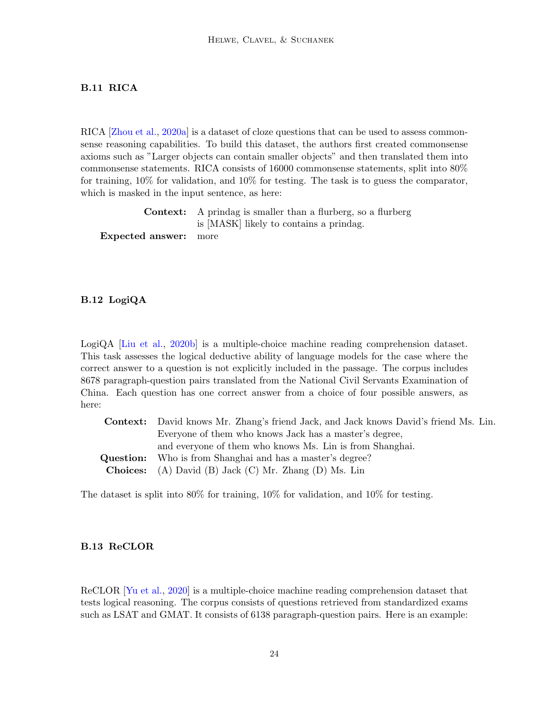## B.11 RICA

RICA [\[Zhou et al.,](#page-17-10) [2020a\]](#page-17-10) is a dataset of cloze questions that can be used to assess commonsense reasoning capabilities. To build this dataset, the authors first created commonsense axioms such as "Larger objects can contain smaller objects" and then translated them into commonsense statements. RICA consists of 16000 commonsense statements, split into 80% for training, 10% for validation, and 10% for testing. The task is to guess the comparator, which is masked in the input sentence, as here:

Context: A prindag is smaller than a flurberg, so a flurberg is [MASK] likely to contains a prindag. Expected answer: more

### B.12 LogiQA

LogiQA [\[Liu et al.,](#page-13-5) [2020b\]](#page-13-5) is a multiple-choice machine reading comprehension dataset. This task assesses the logical deductive ability of language models for the case where the correct answer to a question is not explicitly included in the passage. The corpus includes 8678 paragraph-question pairs translated from the National Civil Servants Examination of China. Each question has one correct answer from a choice of four possible answers, as here:

| <b>Context:</b> David knows Mr. Zhang's friend Jack, and Jack knows David's friend Ms. Lin. |
|---------------------------------------------------------------------------------------------|
| Everyone of them who knows Jack has a master's degree,                                      |
| and everyone of them who knows Ms. Lin is from Shanghai.                                    |
| <b>Question:</b> Who is from Shanghai and has a master's degree?                            |
| <b>Choices:</b> (A) David (B) Jack (C) Mr. Zhang (D) Ms. Lin                                |

The dataset is split into  $80\%$  for training,  $10\%$  for validation, and  $10\%$  for testing.

### B.13 ReCLOR

ReCLOR [\[Yu et al.,](#page-17-8) [2020\]](#page-17-8) is a multiple-choice machine reading comprehension dataset that tests logical reasoning. The corpus consists of questions retrieved from standardized exams such as LSAT and GMAT. It consists of 6138 paragraph-question pairs. Here is an example: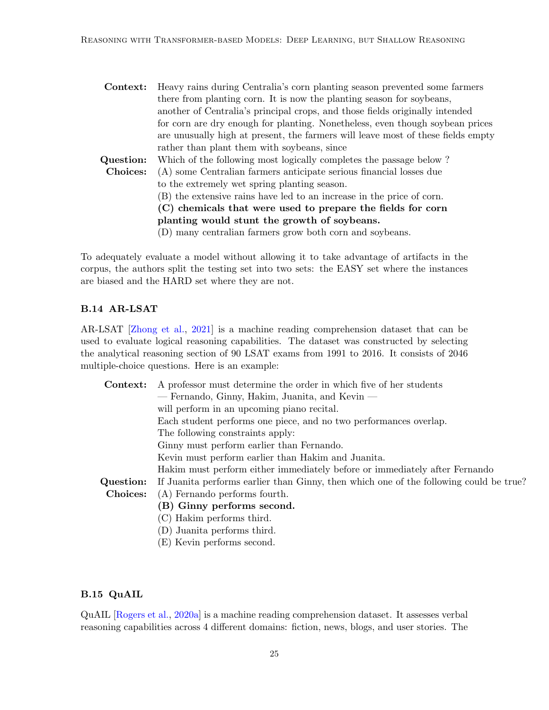| Context:                                     | Heavy rains during Centralia's corn planting season prevented some farmers       |  |  |
|----------------------------------------------|----------------------------------------------------------------------------------|--|--|
|                                              | there from planting corn. It is now the planting season for soybeans,            |  |  |
|                                              | another of Centralia's principal crops, and those fields originally intended     |  |  |
|                                              | for corn are dry enough for planting. Nonetheless, even though soybean prices    |  |  |
|                                              | are unusually high at present, the farmers will leave most of these fields empty |  |  |
|                                              | rather than plant them with soybeans, since                                      |  |  |
| Question:                                    | Which of the following most logically completes the passage below?               |  |  |
| Choices:                                     | (A) some Centralian farmers anticipate serious financial losses due              |  |  |
|                                              | to the extremely wet spring planting season.                                     |  |  |
|                                              | (B) the extensive rains have led to an increase in the price of corn.            |  |  |
|                                              | (C) chemicals that were used to prepare the fields for corn                      |  |  |
| planting would stunt the growth of soybeans. |                                                                                  |  |  |
|                                              | (D) many centralian farmers grow both corn and soybeans.                         |  |  |

To adequately evaluate a model without allowing it to take advantage of artifacts in the corpus, the authors split the testing set into two sets: the EASY set where the instances are biased and the HARD set where they are not.

### B.14 AR-LSAT

AR-LSAT [\[Zhong et al.,](#page-17-9) [2021\]](#page-17-9) is a machine reading comprehension dataset that can be used to evaluate logical reasoning capabilities. The dataset was constructed by selecting the analytical reasoning section of 90 LSAT exams from 1991 to 2016. It consists of 2046 multiple-choice questions. Here is an example:

| Context:  | A professor must determine the order in which five of her students                     |  |
|-----------|----------------------------------------------------------------------------------------|--|
|           | — Fernando, Ginny, Hakim, Juanita, and Kevin —                                         |  |
|           | will perform in an upcoming piano recital.                                             |  |
|           | Each student performs one piece, and no two performances overlap.                      |  |
|           | The following constraints apply:                                                       |  |
|           | Ginny must perform earlier than Fernando.                                              |  |
|           | Kevin must perform earlier than Hakim and Juanita.                                     |  |
|           | Hakim must perform either immediately before or immediately after Fernando             |  |
| Question: | If Juanita performs earlier than Ginny, then which one of the following could be true? |  |
| Choices:  | (A) Fernando performs fourth.                                                          |  |
|           | (B) Ginny performs second.                                                             |  |
|           | (C) Hakim performs third.                                                              |  |
|           | (D) Juanita performs third.                                                            |  |
|           | (E) Kevin performs second.                                                             |  |

## B.15 QuAIL

QuAIL [\[Rogers et al.,](#page-15-8) [2020a\]](#page-15-8) is a machine reading comprehension dataset. It assesses verbal reasoning capabilities across 4 different domains: fiction, news, blogs, and user stories. The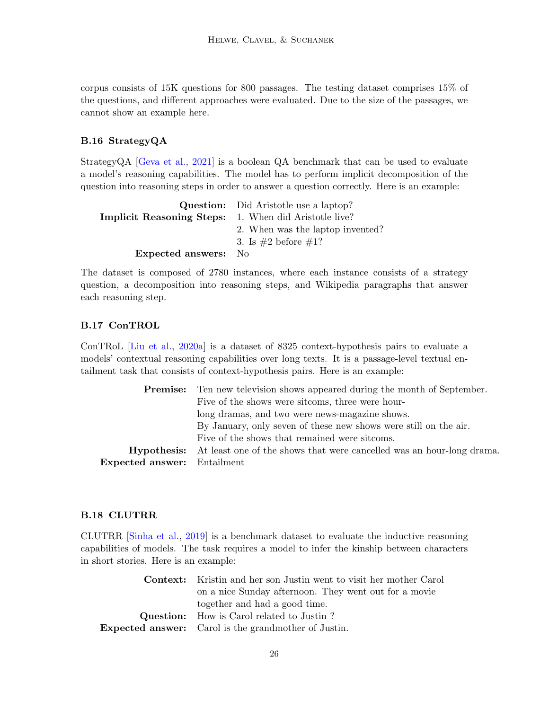corpus consists of 15K questions for 800 passages. The testing dataset comprises 15% of the questions, and different approaches were evaluated. Due to the size of the passages, we cannot show an example here.

## B.16 StrategyQA

StrategyQA [\[Geva et al.,](#page-12-6) [2021\]](#page-12-6) is a boolean QA benchmark that can be used to evaluate a model's reasoning capabilities. The model has to perform implicit decomposition of the question into reasoning steps in order to answer a question correctly. Here is an example:

|                                                              | <b>Question:</b> Did Aristotle use a laptop? |
|--------------------------------------------------------------|----------------------------------------------|
| <b>Implicit Reasoning Steps:</b> 1. When did Aristotle live? |                                              |
|                                                              | 2. When was the laptop invented?             |
|                                                              | 3. Is $\#2$ before $\#1$ ?                   |
| <b>Expected answers:</b>                                     | - No                                         |

The dataset is composed of 2780 instances, where each instance consists of a strategy question, a decomposition into reasoning steps, and Wikipedia paragraphs that answer each reasoning step.

## B.17 ConTROL

ConTRoL [\[Liu et al.,](#page-13-7) [2020a\]](#page-13-7) is a dataset of 8325 context-hypothesis pairs to evaluate a models' contextual reasoning capabilities over long texts. It is a passage-level textual entailment task that consists of context-hypothesis pairs. Here is an example:

|                                    | <b>Premise:</b> Ten new television shows appeared during the month of September.         |  |  |  |  |
|------------------------------------|------------------------------------------------------------------------------------------|--|--|--|--|
|                                    | Five of the shows were sitcoms, three were hour-                                         |  |  |  |  |
|                                    | long dramas, and two were news-magazine shows.                                           |  |  |  |  |
|                                    | By January, only seven of these new shows were still on the air.                         |  |  |  |  |
|                                    | Five of the shows that remained were sitcoms.                                            |  |  |  |  |
|                                    | <b>Hypothesis:</b> At least one of the shows that were cancelled was an hour-long drama. |  |  |  |  |
| <b>Expected answer:</b> Entailment |                                                                                          |  |  |  |  |

### B.18 CLUTRR

CLUTRR [\[Sinha et al.,](#page-16-10) [2019\]](#page-16-10) is a benchmark dataset to evaluate the inductive reasoning capabilities of models. The task requires a model to infer the kinship between characters in short stories. Here is an example:

| <b>Context:</b> Kristin and her son Justin went to visit her mother Carol |
|---------------------------------------------------------------------------|
| on a nice Sunday afternoon. They went out for a movie                     |
| together and had a good time.                                             |
| <b>Question:</b> How is Carol related to Justin?                          |
| <b>Expected answer:</b> Carol is the grandmother of Justin.               |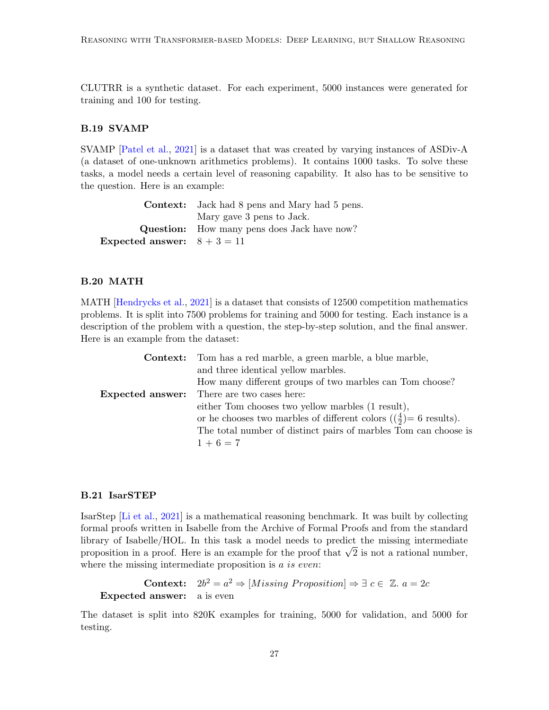CLUTRR is a synthetic dataset. For each experiment, 5000 instances were generated for training and 100 for testing.

## B.19 SVAMP

SVAMP [\[Patel et al.,](#page-14-10) [2021\]](#page-14-10) is a dataset that was created by varying instances of ASDiv-A (a dataset of one-unknown arithmetics problems). It contains 1000 tasks. To solve these tasks, a model needs a certain level of reasoning capability. It also has to be sensitive to the question. Here is an example:

|                               | <b>Context:</b> Jack had 8 pens and Mary had 5 pens. |
|-------------------------------|------------------------------------------------------|
|                               | Mary gave 3 pens to Jack.                            |
|                               | <b>Question:</b> How many pens does Jack have now?   |
| Expected answer: $8 + 3 = 11$ |                                                      |

### B.20 MATH

MATH [\[Hendrycks et al.,](#page-12-9) [2021\]](#page-12-9) is a dataset that consists of 12500 competition mathematics problems. It is split into 7500 problems for training and 5000 for testing. Each instance is a description of the problem with a question, the step-by-step solution, and the final answer. Here is an example from the dataset:

| <b>Context:</b> Tom has a red marble, a green marble, a blue marble,        |  |  |  |
|-----------------------------------------------------------------------------|--|--|--|
| and three identical yellow marbles.                                         |  |  |  |
| How many different groups of two marbles can Tom choose?                    |  |  |  |
| <b>Expected answer:</b> There are two cases here:                           |  |  |  |
| either Tom chooses two yellow marbles (1 result),                           |  |  |  |
| or he chooses two marbles of different colors $(\frac{4}{2})$ = 6 results). |  |  |  |
| The total number of distinct pairs of marbles Tom can choose is             |  |  |  |
| $1+6=7$                                                                     |  |  |  |

### B.21 IsarSTEP

IsarStep [\[Li et al.,](#page-13-10) [2021\]](#page-13-10) is a mathematical reasoning benchmark. It was built by collecting formal proofs written in Isabelle from the Archive of Formal Proofs and from the standard library of Isabelle/HOL. In this task a model needs to predict the missing intermediate norary or isabelie/HOL. In this task a model heeds to predict the missing intermediate<br>proposition in a proof. Here is an example for the proof that  $\sqrt{2}$  is not a rational number, where the missing intermediate proposition is a is even:

Context:  $2b^2 = a^2 \Rightarrow [Missing\,\, Proposition] \Rightarrow \exists\,\,c \in \mathbb{Z}. a = 2c$ Expected answer: a is even

The dataset is split into 820K examples for training, 5000 for validation, and 5000 for testing.